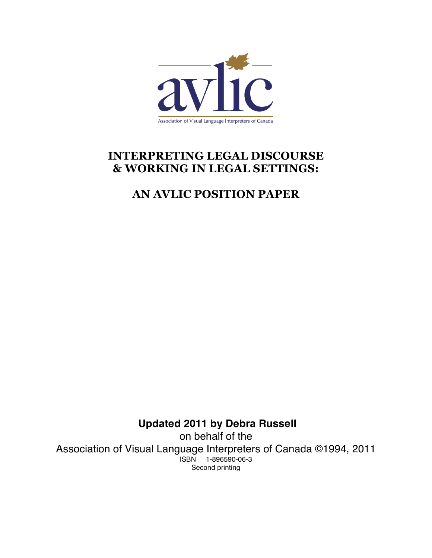

# **INTERPRETING LEGAL DISCOURSE & WORKING IN LEGAL SETTINGS:**

# **AN AVLIC POSITION PAPER**

**Updated 2011 by Debra Russell** on behalf of the Association of Visual Language Interpreters of Canada ©1994, 2011 ISBN 1-896590-06-3 Second printing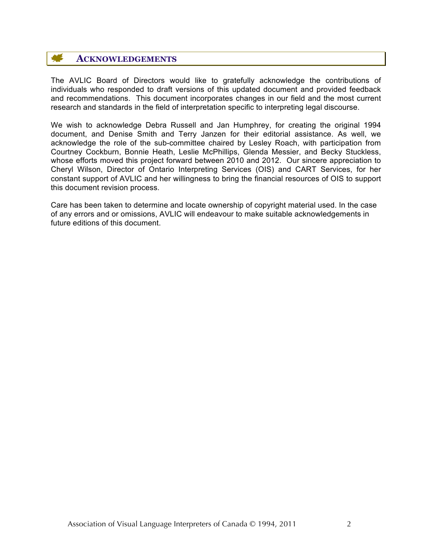#### ₩ **ACKNOWLEDGEMENTS**

The AVLIC Board of Directors would like to gratefully acknowledge the contributions of individuals who responded to draft versions of this updated document and provided feedback and recommendations. This document incorporates changes in our field and the most current research and standards in the field of interpretation specific to interpreting legal discourse.

We wish to acknowledge Debra Russell and Jan Humphrey, for creating the original 1994 document, and Denise Smith and Terry Janzen for their editorial assistance. As well, we acknowledge the role of the sub-committee chaired by Lesley Roach, with participation from Courtney Cockburn, Bonnie Heath, Leslie McPhillips, Glenda Messier, and Becky Stuckless, whose efforts moved this project forward between 2010 and 2012. Our sincere appreciation to Cheryl Wilson, Director of Ontario Interpreting Services (OIS) and CART Services, for her constant support of AVLIC and her willingness to bring the financial resources of OIS to support this document revision process.

Care has been taken to determine and locate ownership of copyright material used. In the case of any errors and or omissions, AVLIC will endeavour to make suitable acknowledgements in future editions of this document.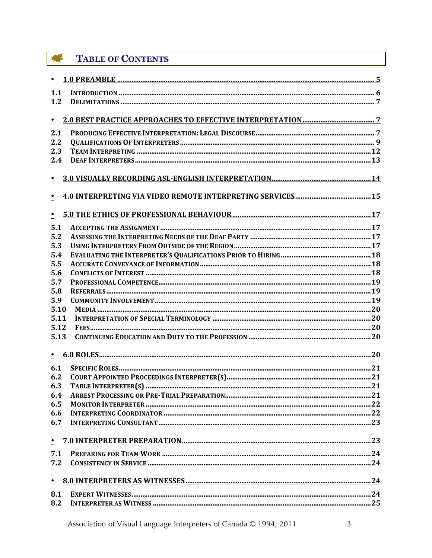#### 集 **TABLE OF CONTENTS**

| 1.1        |  |  |  |
|------------|--|--|--|
| 1.2        |  |  |  |
|            |  |  |  |
| $\cdot$    |  |  |  |
| 2.1        |  |  |  |
| 2.2        |  |  |  |
| 2.3        |  |  |  |
| 2.4        |  |  |  |
|            |  |  |  |
| $\bullet$  |  |  |  |
|            |  |  |  |
| $\bullet$  |  |  |  |
|            |  |  |  |
| $\bullet$  |  |  |  |
| 5.1        |  |  |  |
| 5.2        |  |  |  |
| 5.3        |  |  |  |
| 5.4        |  |  |  |
| 5.5        |  |  |  |
| 5.6        |  |  |  |
| 5.7        |  |  |  |
| 5.8        |  |  |  |
| 5.9        |  |  |  |
| 5.10       |  |  |  |
| 5.11       |  |  |  |
| 5.12       |  |  |  |
| 5.13       |  |  |  |
|            |  |  |  |
| $\bullet$  |  |  |  |
|            |  |  |  |
| 6.1<br>6.2 |  |  |  |
|            |  |  |  |
| 6.3        |  |  |  |
| 6.4<br>6.5 |  |  |  |
| 6.6        |  |  |  |
| 6.7        |  |  |  |
|            |  |  |  |
| $\bullet$  |  |  |  |
| 7.1        |  |  |  |
| 7.2        |  |  |  |
|            |  |  |  |
| $\bullet$  |  |  |  |
|            |  |  |  |
| 8.1        |  |  |  |
| 8.2        |  |  |  |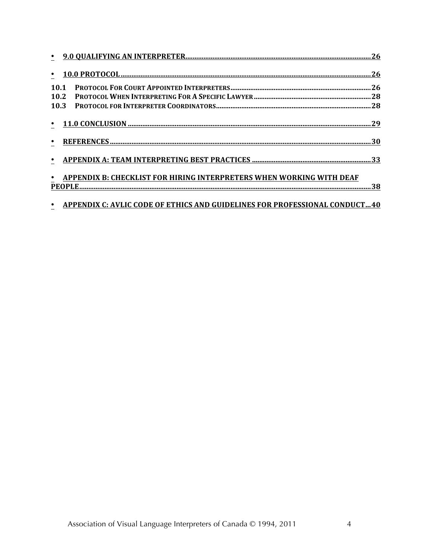| 10.1                                                                       |  |
|----------------------------------------------------------------------------|--|
| 10.2                                                                       |  |
| 10.3                                                                       |  |
|                                                                            |  |
|                                                                            |  |
|                                                                            |  |
| APPENDIX B: CHECKLIST FOR HIRING INTERPRETERS WHEN WORKING WITH DEAF       |  |
|                                                                            |  |
| APPENDIX C: AVLIC CODE OF ETHICS AND GUIDELINES FOR PROFESSIONAL CONDUCT40 |  |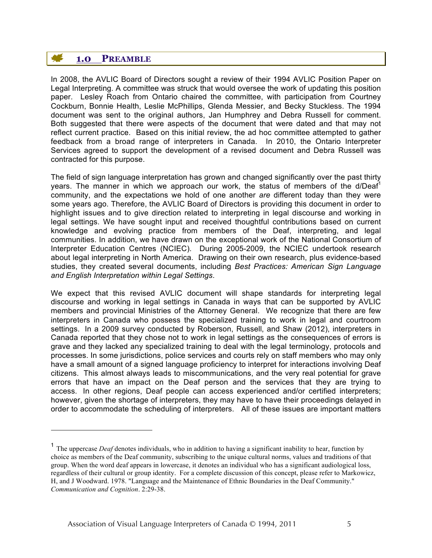# **1.0 PREAMBLE**

 $\overline{a}$ 

In 2008, the AVLIC Board of Directors sought a review of their 1994 AVLIC Position Paper on Legal Interpreting. A committee was struck that would oversee the work of updating this position paper. Lesley Roach from Ontario chaired the committee, with participation from Courtney Cockburn, Bonnie Health, Leslie McPhillips, Glenda Messier, and Becky Stuckless. The 1994 document was sent to the original authors, Jan Humphrey and Debra Russell for comment. Both suggested that there were aspects of the document that were dated and that may not reflect current practice. Based on this initial review, the ad hoc committee attempted to gather feedback from a broad range of interpreters in Canada. In 2010, the Ontario Interpreter Services agreed to support the development of a revised document and Debra Russell was contracted for this purpose.

The field of sign language interpretation has grown and changed significantly over the past thirty years. The manner in which we approach our work, the status of members of the d/Deaf<sup>1</sup> community, and the expectations we hold of one another *are* different today than they were some years ago. Therefore, the AVLIC Board of Directors is providing this document in order to highlight issues and to give direction related to interpreting in legal discourse and working in legal settings. We have sought input and received thoughtful contributions based on current knowledge and evolving practice from members of the Deaf, interpreting, and legal communities. In addition, we have drawn on the exceptional work of the National Consortium of Interpreter Education Centres (NCIEC). During 2005-2009, the NCIEC undertook research about legal interpreting in North America. Drawing on their own research, plus evidence-based studies, they created several documents, including *Best Practices: American Sign Language and English Interpretation within Legal Settings*.

We expect that this revised AVLIC document will shape standards for interpreting legal discourse and working in legal settings in Canada in ways that can be supported by AVLIC members and provincial Ministries of the Attorney General. We recognize that there are few interpreters in Canada who possess the specialized training to work in legal and courtroom settings. In a 2009 survey conducted by Roberson, Russell, and Shaw (2012), interpreters in Canada reported that they chose not to work in legal settings as the consequences of errors is grave and they lacked any specialized training to deal with the legal terminology, protocols and processes. In some jurisdictions, police services and courts rely on staff members who may only have a small amount of a signed language proficiency to interpret for interactions involving Deaf citizens. This almost always leads to miscommunications, and the very real potential for grave errors that have an impact on the Deaf person and the services that they are trying to access. In other regions, Deaf people can access experienced and/or certified interpreters; however, given the shortage of interpreters, they may have to have their proceedings delayed in order to accommodate the scheduling of interpreters. All of these issues are important matters

<sup>&</sup>lt;sup>1</sup> The uppercase *Deaf* denotes individuals, who in addition to having a significant inability to hear, function by choice as members of the Deaf community, subscribing to the unique cultural norms, values and traditions of that group. When the word deaf appears in lowercase, it denotes an individual who has a significant audiological loss, regardless of their cultural or group identity. For a complete discussion of this concept, please refer to Markowicz, H, and J Woodward. 1978. "Language and the Maintenance of Ethnic Boundaries in the Deaf Community." *Communication and Cognition*. 2:29-38.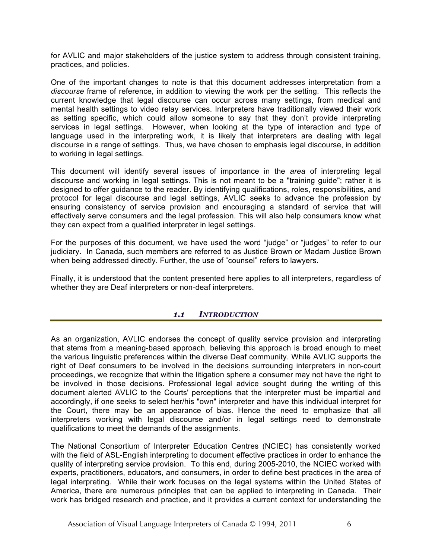for AVLIC and major stakeholders of the justice system to address through consistent training, practices, and policies.

One of the important changes to note is that this document addresses interpretation from a *discourse* frame of reference, in addition to viewing the work per the setting. This reflects the current knowledge that legal discourse can occur across many settings, from medical and mental health settings to video relay services. Interpreters have traditionally viewed their work as setting specific, which could allow someone to say that they don't provide interpreting services in legal settings. However, when looking at the type of interaction and type of language used in the interpreting work, it is likely that interpreters are dealing with legal discourse in a range of settings. Thus, we have chosen to emphasis legal discourse, in addition to working in legal settings.

This document will identify several issues of importance in the *area* of interpreting legal discourse and working in legal settings. This is not meant to be a "training guide"; rather it is designed to offer guidance to the reader. By identifying qualifications, roles, responsibilities, and protocol for legal discourse and legal settings, AVLIC seeks to advance the profession by ensuring consistency of service provision and encouraging a standard of service that will effectively serve consumers and the legal profession. This will also help consumers know what they can expect from a qualified interpreter in legal settings.

For the purposes of this document, we have used the word "judge" or "judges" to refer to our judiciary. In Canada, such members are referred to as Justice Brown or Madam Justice Brown when being addressed directly. Further, the use of "counsel" refers to lawyers.

Finally, it is understood that the content presented here applies to all interpreters, regardless of whether they are Deaf interpreters or non-deaf interpreters.

# *1.1 INTRODUCTION*

As an organization, AVLIC endorses the concept of quality service provision and interpreting that stems from a meaning-based approach, believing this approach is broad enough to meet the various linguistic preferences within the diverse Deaf community. While AVLIC supports the right of Deaf consumers to be involved in the decisions surrounding interpreters in non-court proceedings, we recognize that within the litigation sphere a consumer may not have the right to be involved in those decisions. Professional legal advice sought during the writing of this document alerted AVLIC to the Courts' perceptions that the interpreter must be impartial and accordingly, if one seeks to select her/his "own" interpreter and have this individual interpret for the Court, there may be an appearance of bias. Hence the need to emphasize that all interpreters working with legal discourse and/or in legal settings need to demonstrate qualifications to meet the demands of the assignments.

The National Consortium of Interpreter Education Centres (NCIEC) has consistently worked with the field of ASL-English interpreting to document effective practices in order to enhance the quality of interpreting service provision. To this end, during 2005-2010, the NCIEC worked with experts, practitioners, educators, and consumers, in order to define best practices in the area of legal interpreting. While their work focuses on the legal systems within the United States of America, there are numerous principles that can be applied to interpreting in Canada. Their work has bridged research and practice, and it provides a current context for understanding the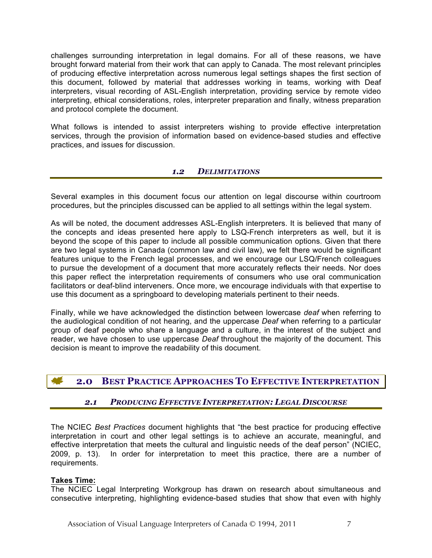challenges surrounding interpretation in legal domains. For all of these reasons, we have brought forward material from their work that can apply to Canada. The most relevant principles of producing effective interpretation across numerous legal settings shapes the first section of this document, followed by material that addresses working in teams, working with Deaf interpreters, visual recording of ASL-English interpretation, providing service by remote video interpreting, ethical considerations, roles, interpreter preparation and finally, witness preparation and protocol complete the document.

What follows is intended to assist interpreters wishing to provide effective interpretation services, through the provision of information based on evidence-based studies and effective practices, and issues for discussion.

# *1.2 DELIMITATIONS*

Several examples in this document focus our attention on legal discourse within courtroom procedures, but the principles discussed can be applied to all settings within the legal system.

As will be noted, the document addresses ASL-English interpreters. It is believed that many of the concepts and ideas presented here apply to LSQ-French interpreters as well, but it is beyond the scope of this paper to include all possible communication options. Given that there are two legal systems in Canada (common law and civil law), we felt there would be significant features unique to the French legal processes, and we encourage our LSQ/French colleagues to pursue the development of a document that more accurately reflects their needs. Nor does this paper reflect the interpretation requirements of consumers who use oral communication facilitators or deaf-blind interveners. Once more, we encourage individuals with that expertise to use this document as a springboard to developing materials pertinent to their needs.

Finally, while we have acknowledged the distinction between lowercase *deaf* when referring to the audiological condition of not hearing, and the uppercase *Deaf* when referring to a particular group of deaf people who share a language and a culture, in the interest of the subject and reader, we have chosen to use uppercase *Deaf* throughout the majority of the document. This decision is meant to improve the readability of this document.

# **2.0 BEST PRACTICE APPROACHES TO EFFECTIVE INTERPRETATION**

# *2.1 PRODUCING EFFECTIVE INTERPRETATION: LEGAL DISCOURSE*

The NCIEC *Best Practices* document highlights that "the best practice for producing effective interpretation in court and other legal settings is to achieve an accurate, meaningful, and effective interpretation that meets the cultural and linguistic needs of the deaf person" (NCIEC, 2009, p. 13). In order for interpretation to meet this practice, there are a number of requirements.

#### **Takes Time:**

The NCIEC Legal Interpreting Workgroup has drawn on research about simultaneous and consecutive interpreting, highlighting evidence-based studies that show that even with highly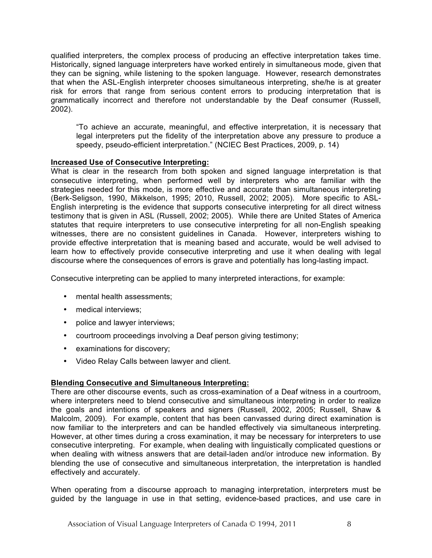qualified interpreters, the complex process of producing an effective interpretation takes time. Historically, signed language interpreters have worked entirely in simultaneous mode, given that they can be signing, while listening to the spoken language. However, research demonstrates that when the ASL-English interpreter chooses simultaneous interpreting, she/he is at greater risk for errors that range from serious content errors to producing interpretation that is grammatically incorrect and therefore not understandable by the Deaf consumer (Russell, 2002).

"To achieve an accurate, meaningful, and effective interpretation, it is necessary that legal interpreters put the fidelity of the interpretation above any pressure to produce a speedy, pseudo-efficient interpretation." (NCIEC Best Practices, 2009, p. 14)

# **Increased Use of Consecutive Interpreting:**

What is clear in the research from both spoken and signed language interpretation is that consecutive interpreting, when performed well by interpreters who are familiar with the strategies needed for this mode, is more effective and accurate than simultaneous interpreting (Berk-Seligson, 1990, Mikkelson, 1995; 2010, Russell, 2002; 2005). More specific to ASL-English interpreting is the evidence that supports consecutive interpreting for all direct witness testimony that is given in ASL (Russell, 2002; 2005). While there are United States of America statutes that require interpreters to use consecutive interpreting for all non-English speaking witnesses, there are no consistent guidelines in Canada. However, interpreters wishing to provide effective interpretation that is meaning based and accurate, would be well advised to learn how to effectively provide consecutive interpreting and use it when dealing with legal discourse where the consequences of errors is grave and potentially has long-lasting impact.

Consecutive interpreting can be applied to many interpreted interactions, for example:

- mental health assessments;
- medical interviews;
- police and lawyer interviews;
- courtroom proceedings involving a Deaf person giving testimony;
- examinations for discovery;
- Video Relay Calls between lawyer and client.

# **Blending Consecutive and Simultaneous Interpreting:**

There are other discourse events, such as cross-examination of a Deaf witness in a courtroom, where interpreters need to blend consecutive and simultaneous interpreting in order to realize the goals and intentions of speakers and signers (Russell, 2002, 2005; Russell, Shaw & Malcolm, 2009). For example, content that has been canvassed during direct examination is now familiar to the interpreters and can be handled effectively via simultaneous interpreting. However, at other times during a cross examination, it may be necessary for interpreters to use consecutive interpreting. For example, when dealing with linguistically complicated questions or when dealing with witness answers that are detail-laden and/or introduce new information. By blending the use of consecutive and simultaneous interpretation, the interpretation is handled effectively and accurately.

When operating from a discourse approach to managing interpretation, interpreters must be guided by the language in use in that setting, evidence-based practices, and use care in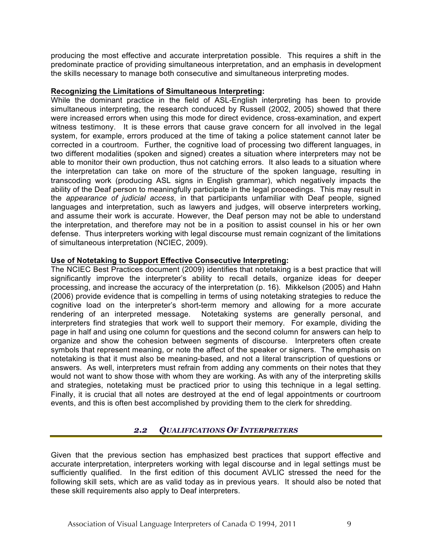producing the most effective and accurate interpretation possible. This requires a shift in the predominate practice of providing simultaneous interpretation, and an emphasis in development the skills necessary to manage both consecutive and simultaneous interpreting modes.

#### **Recognizing the Limitations of Simultaneous Interpreting:**

While the dominant practice in the field of ASL-English interpreting has been to provide simultaneous interpreting, the research conduced by Russell (2002, 2005) showed that there were increased errors when using this mode for direct evidence, cross-examination, and expert witness testimony. It is these errors that cause grave concern for all involved in the legal system, for example, errors produced at the time of taking a police statement cannot later be corrected in a courtroom. Further, the cognitive load of processing two different languages, in two different modalities (spoken and signed) creates a situation where interpreters may not be able to monitor their own production, thus not catching errors. It also leads to a situation where the interpretation can take on more of the structure of the spoken language, resulting in transcoding work (producing ASL signs in English grammar), which negatively impacts the ability of the Deaf person to meaningfully participate in the legal proceedings. This may result in the *appearance of judicial access*, in that participants unfamiliar with Deaf people, signed languages and interpretation, such as lawyers and judges, will observe interpreters working, and assume their work is accurate. However, the Deaf person may not be able to understand the interpretation, and therefore may not be in a position to assist counsel in his or her own defense. Thus interpreters working with legal discourse must remain cognizant of the limitations of simultaneous interpretation (NCIEC, 2009).

#### **Use of Notetaking to Support Effective Consecutive Interpreting:**

The NCIEC Best Practices document (2009) identifies that notetaking is a best practice that will significantly improve the interpreter's ability to recall details, organize ideas for deeper processing, and increase the accuracy of the interpretation (p. 16). Mikkelson (2005) and Hahn (2006) provide evidence that is compelling in terms of using notetaking strategies to reduce the cognitive load on the interpreter's short-term memory and allowing for a more accurate rendering of an interpreted message. Notetaking systems are generally personal, and interpreters find strategies that work well to support their memory. For example, dividing the page in half and using one column for questions and the second column for answers can help to organize and show the cohesion between segments of discourse. Interpreters often create symbols that represent meaning, or note the affect of the speaker or signers. The emphasis on notetaking is that it must also be meaning-based, and not a literal transcription of questions or answers. As well, interpreters must refrain from adding any comments on their notes that they would not want to show those with whom they are working. As with any of the interpreting skills and strategies, notetaking must be practiced prior to using this technique in a legal setting. Finally, it is crucial that all notes are destroyed at the end of legal appointments or courtroom events, and this is often best accomplished by providing them to the clerk for shredding.

# *2.2 QUALIFICATIONS OF INTERPRETERS*

Given that the previous section has emphasized best practices that support effective and accurate interpretation, interpreters working with legal discourse and in legal settings must be sufficiently qualified. In the first edition of this document AVLIC stressed the need for the following skill sets, which are as valid today as in previous years. It should also be noted that these skill requirements also apply to Deaf interpreters.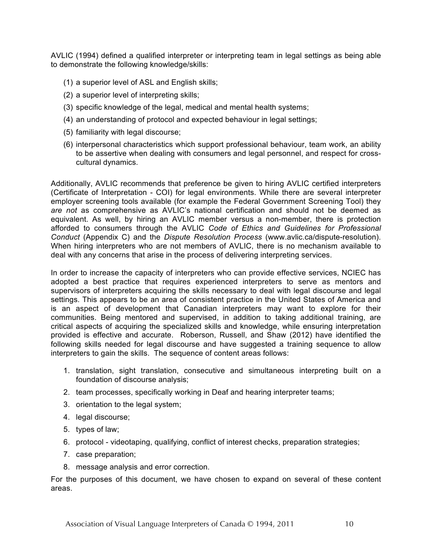AVLIC (1994) defined a qualified interpreter or interpreting team in legal settings as being able to demonstrate the following knowledge/skills:

- (1) a superior level of ASL and English skills;
- (2) a superior level of interpreting skills;
- (3) specific knowledge of the legal, medical and mental health systems;
- (4) an understanding of protocol and expected behaviour in legal settings;
- (5) familiarity with legal discourse;
- (6) interpersonal characteristics which support professional behaviour, team work, an ability to be assertive when dealing with consumers and legal personnel, and respect for crosscultural dynamics.

Additionally, AVLIC recommends that preference be given to hiring AVLIC certified interpreters (Certificate of Interpretation - COI) for legal environments. While there are several interpreter employer screening tools available (for example the Federal Government Screening Tool) they *are not* as comprehensive as AVLIC's national certification and should not be deemed as equivalent. As well, by hiring an AVLIC member versus a non-member, there is protection afforded to consumers through the AVLIC *Code of Ethics and Guidelines for Professional Conduct* (Appendix C) and the *Dispute Resolution Process* (www.avlic.ca/dispute-resolution). When hiring interpreters who are not members of AVLIC, there is no mechanism available to deal with any concerns that arise in the process of delivering interpreting services.

In order to increase the capacity of interpreters who can provide effective services, NCIEC has adopted a best practice that requires experienced interpreters to serve as mentors and supervisors of interpreters acquiring the skills necessary to deal with legal discourse and legal settings. This appears to be an area of consistent practice in the United States of America and is an aspect of development that Canadian interpreters may want to explore for their communities. Being mentored and supervised, in addition to taking additional training, are critical aspects of acquiring the specialized skills and knowledge, while ensuring interpretation provided is effective and accurate. Roberson, Russell, and Shaw (2012) have identified the following skills needed for legal discourse and have suggested a training sequence to allow interpreters to gain the skills. The sequence of content areas follows:

- 1. translation, sight translation, consecutive and simultaneous interpreting built on a foundation of discourse analysis;
- 2. team processes, specifically working in Deaf and hearing interpreter teams;
- 3. orientation to the legal system;
- 4. legal discourse;
- 5. types of law;
- 6. protocol videotaping, qualifying, conflict of interest checks, preparation strategies;
- 7. case preparation;
- 8. message analysis and error correction.

For the purposes of this document, we have chosen to expand on several of these content areas.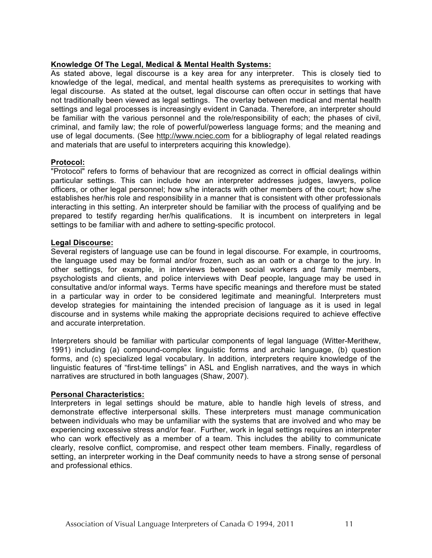#### **Knowledge Of The Legal, Medical & Mental Health Systems:**

As stated above, legal discourse is a key area for any interpreter. This is closely tied to knowledge of the legal, medical, and mental health systems as prerequisites to working with legal discourse. As stated at the outset, legal discourse can often occur in settings that have not traditionally been viewed as legal settings. The overlay between medical and mental health settings and legal processes is increasingly evident in Canada. Therefore, an interpreter should be familiar with the various personnel and the role/responsibility of each; the phases of civil, criminal, and family law; the role of powerful/powerless language forms; and the meaning and use of legal documents. (See http://www.nciec.com for a bibliography of legal related readings and materials that are useful to interpreters acquiring this knowledge).

#### **Protocol:**

"Protocol" refers to forms of behaviour that are recognized as correct in official dealings within particular settings. This can include how an interpreter addresses judges, lawyers, police officers, or other legal personnel; how s/he interacts with other members of the court; how s/he establishes her/his role and responsibility in a manner that is consistent with other professionals interacting in this setting. An interpreter should be familiar with the process of qualifying and be prepared to testify regarding her/his qualifications. It is incumbent on interpreters in legal settings to be familiar with and adhere to setting-specific protocol.

#### **Legal Discourse:**

Several registers of language use can be found in legal discourse. For example, in courtrooms, the language used may be formal and/or frozen, such as an oath or a charge to the jury. In other settings, for example, in interviews between social workers and family members, psychologists and clients, and police interviews with Deaf people, language may be used in consultative and/or informal ways. Terms have specific meanings and therefore must be stated in a particular way in order to be considered legitimate and meaningful. Interpreters must develop strategies for maintaining the intended precision of language as it is used in legal discourse and in systems while making the appropriate decisions required to achieve effective and accurate interpretation.

Interpreters should be familiar with particular components of legal language (Witter-Merithew, 1991) including (a) compound-complex linguistic forms and archaic language, (b) question forms, and (c) specialized legal vocabulary. In addition, interpreters require knowledge of the linguistic features of "first-time tellings" in ASL and English narratives, and the ways in which narratives are structured in both languages (Shaw, 2007).

# **Personal Characteristics:**

Interpreters in legal settings should be mature, able to handle high levels of stress, and demonstrate effective interpersonal skills. These interpreters must manage communication between individuals who may be unfamiliar with the systems that are involved and who may be experiencing excessive stress and/or fear. Further, work in legal settings requires an interpreter who can work effectively as a member of a team. This includes the ability to communicate clearly, resolve conflict, compromise, and respect other team members. Finally, regardless of setting, an interpreter working in the Deaf community needs to have a strong sense of personal and professional ethics.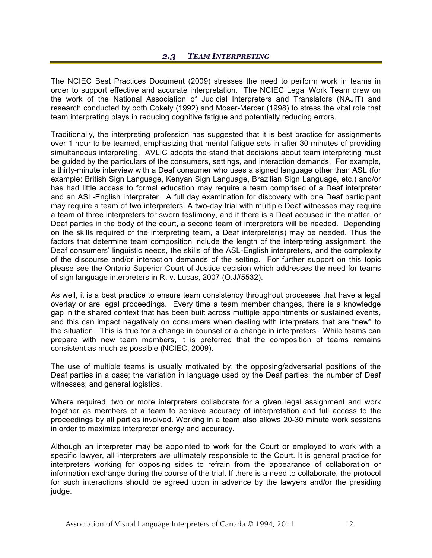The NCIEC Best Practices Document (2009) stresses the need to perform work in teams in order to support effective and accurate interpretation. The NCIEC Legal Work Team drew on the work of the National Association of Judicial Interpreters and Translators (NAJIT) and research conducted by both Cokely (1992) and Moser-Mercer (1998) to stress the vital role that team interpreting plays in reducing cognitive fatigue and potentially reducing errors.

Traditionally, the interpreting profession has suggested that it is best practice for assignments over 1 hour to be teamed, emphasizing that mental fatigue sets in after 30 minutes of providing simultaneous interpreting. AVLIC adopts the stand that decisions about team interpreting must be guided by the particulars of the consumers, settings, and interaction demands. For example, a thirty-minute interview with a Deaf consumer who uses a signed language other than ASL (for example: British Sign Language, Kenyan Sign Language, Brazilian Sign Language, etc.) and/or has had little access to formal education may require a team comprised of a Deaf interpreter and an ASL-English interpreter. A full day examination for discovery with one Deaf participant may require a team of two interpreters. A two-day trial with multiple Deaf witnesses may require a team of three interpreters for sworn testimony, and if there is a Deaf accused in the matter, or Deaf parties in the body of the court, a second team of interpreters will be needed. Depending on the skills required of the interpreting team, a Deaf interpreter(s) may be needed. Thus the factors that determine team composition include the length of the interpreting assignment, the Deaf consumers' linguistic needs, the skills of the ASL-English interpreters, and the complexity of the discourse and/or interaction demands of the setting. For further support on this topic please see the Ontario Superior Court of Justice decision which addresses the need for teams of sign language interpreters in R. v. Lucas, 2007 (O.J#5532).

As well, it is a best practice to ensure team consistency throughout processes that have a legal overlay or are legal proceedings. Every time a team member changes, there is a knowledge gap in the shared context that has been built across multiple appointments or sustained events, and this can impact negatively on consumers when dealing with interpreters that are "new" to the situation. This is true for a change in counsel or a change in interpreters. While teams can prepare with new team members, it is preferred that the composition of teams remains consistent as much as possible (NCIEC, 2009).

The use of multiple teams is usually motivated by: the opposing/adversarial positions of the Deaf parties in a case; the variation in language used by the Deaf parties; the number of Deaf witnesses; and general logistics.

Where required, two or more interpreters collaborate for a given legal assignment and work together as members of a team to achieve accuracy of interpretation and full access to the proceedings by all parties involved. Working in a team also allows 20-30 minute work sessions in order to maximize interpreter energy and accuracy.

Although an interpreter may be appointed to work for the Court or employed to work with a specific lawyer, all interpreters *are* ultimately responsible to the Court. It is general practice for interpreters working for opposing sides to refrain from the appearance of collaboration or information exchange during the course of the trial. If there is a need to collaborate, the protocol for such interactions should be agreed upon in advance by the lawyers and/or the presiding judge.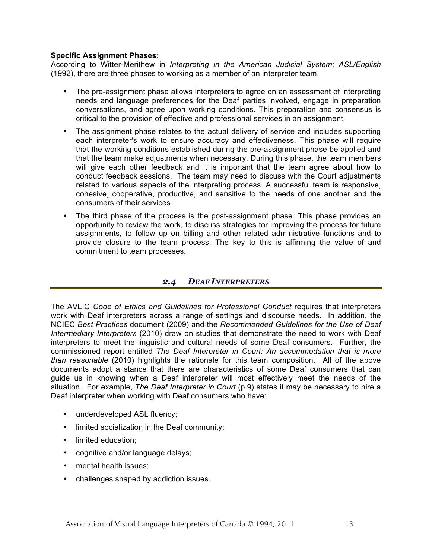#### **Specific Assignment Phases:**

According to Witter-Merithew in *Interpreting in the American Judicial System: ASL/English* (1992), there are three phases to working as a member of an interpreter team.

- The pre-assignment phase allows interpreters to agree on an assessment of interpreting needs and language preferences for the Deaf parties involved, engage in preparation conversations, and agree upon working conditions. This preparation and consensus is critical to the provision of effective and professional services in an assignment.
- The assignment phase relates to the actual delivery of service and includes supporting each interpreter's work to ensure accuracy and effectiveness. This phase will require that the working conditions established during the pre-assignment phase be applied and that the team make adjustments when necessary. During this phase, the team members will give each other feedback and it is important that the team agree about how to conduct feedback sessions. The team may need to discuss with the Court adjustments related to various aspects of the interpreting process. A successful team is responsive, cohesive, cooperative, productive, and sensitive to the needs of one another and the consumers of their services.
- The third phase of the process is the post-assignment phase. This phase provides an opportunity to review the work, to discuss strategies for improving the process for future assignments, to follow up on billing and other related administrative functions and to provide closure to the team process. The key to this is affirming the value of and commitment to team processes.

# *2.4 DEAF INTERPRETERS*

The AVLIC *Code of Ethics and Guidelines for Professional Conduct* requires that interpreters work with Deaf interpreters across a range of settings and discourse needs. In addition, the NCIEC *Best Practices* document (2009) and the *Recommended Guidelines for the Use of Deaf Intermediary Interpreters* (2010) draw on studies that demonstrate the need to work with Deaf interpreters to meet the linguistic and cultural needs of some Deaf consumers. Further, the commissioned report entitled *The Deaf Interpreter in Court: An accommodation that is more than reasonable* (2010) highlights the rationale for this team composition. All of the above documents adopt a stance that there are characteristics of some Deaf consumers that can guide us in knowing when a Deaf interpreter will most effectively meet the needs of the situation. For example, *The Deaf Interpreter in Court* (p.9) states it may be necessary to hire a Deaf interpreter when working with Deaf consumers who have:

- underdeveloped ASL fluency;
- limited socialization in the Deaf community;
- limited education;
- cognitive and/or language delays;
- mental health issues:
- challenges shaped by addiction issues.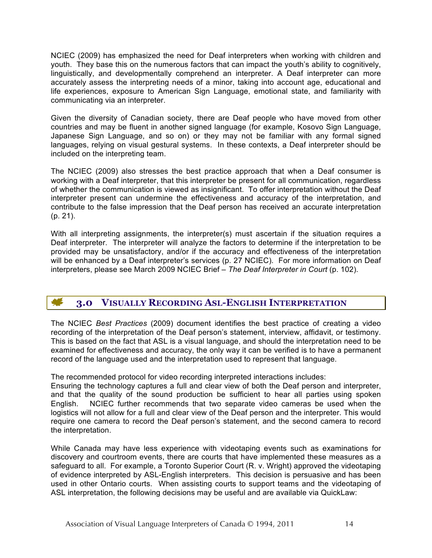NCIEC (2009) has emphasized the need for Deaf interpreters when working with children and youth. They base this on the numerous factors that can impact the youth's ability to cognitively, linguistically, and developmentally comprehend an interpreter. A Deaf interpreter can more accurately assess the interpreting needs of a minor, taking into account age, educational and life experiences, exposure to American Sign Language, emotional state, and familiarity with communicating via an interpreter.

Given the diversity of Canadian society, there are Deaf people who have moved from other countries and may be fluent in another signed language (for example, Kosovo Sign Language, Japanese Sign Language, and so on) or they may not be familiar with any formal signed languages, relying on visual gestural systems. In these contexts, a Deaf interpreter should be included on the interpreting team.

The NCIEC (2009) also stresses the best practice approach that when a Deaf consumer is working with a Deaf interpreter, that this interpreter be present for all communication, regardless of whether the communication is viewed as insignificant. To offer interpretation without the Deaf interpreter present can undermine the effectiveness and accuracy of the interpretation, and contribute to the false impression that the Deaf person has received an accurate interpretation (p. 21).

With all interpreting assignments, the interpreter(s) must ascertain if the situation requires a Deaf interpreter. The interpreter will analyze the factors to determine if the interpretation to be provided may be unsatisfactory, and/or if the accuracy and effectiveness of the interpretation will be enhanced by a Deaf interpreter's services (p. 27 NCIEC). For more information on Deaf interpreters, please see March 2009 NCIEC Brief – *The Deaf Interpreter in Court* (p. 102).

#### **AF 3.0 VISUALLY RECORDING ASL-ENGLISH INTERPRETATION**

The NCIEC *Best Practices* (2009) document identifies the best practice of creating a video recording of the interpretation of the Deaf person's statement, interview, affidavit, or testimony. This is based on the fact that ASL is a visual language, and should the interpretation need to be examined for effectiveness and accuracy, the only way it can be verified is to have a permanent record of the language used and the interpretation used to represent that language.

The recommended protocol for video recording interpreted interactions includes:

Ensuring the technology captures a full and clear view of both the Deaf person and interpreter, and that the quality of the sound production be sufficient to hear all parties using spoken English. NCIEC further recommends that two separate video cameras be used when the logistics will not allow for a full and clear view of the Deaf person and the interpreter. This would require one camera to record the Deaf person's statement, and the second camera to record the interpretation.

While Canada may have less experience with videotaping events such as examinations for discovery and courtroom events, there are courts that have implemented these measures as a safeguard to all. For example, a Toronto Superior Court (R. v. Wright) approved the videotaping of evidence interpreted by ASL-English interpreters. This decision is persuasive and has been used in other Ontario courts. When assisting courts to support teams and the videotaping of ASL interpretation, the following decisions may be useful and are available via QuickLaw: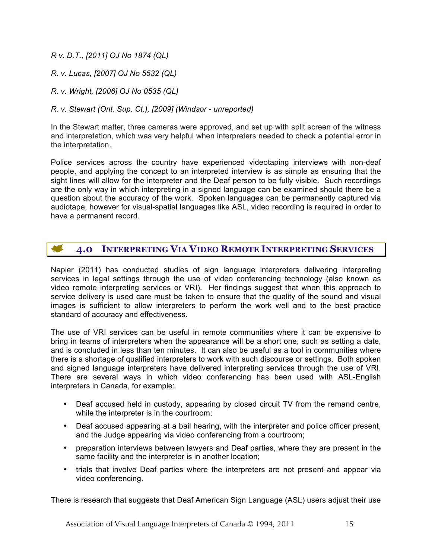*R v. D.T., [2011] OJ No 1874 (QL)*

- *R. v. Lucas, [2007] OJ No 5532 (QL)*
- *R. v. Wright, [2006] OJ No 0535 (QL)*
- *R. v. Stewart (Ont. Sup. Ct.), [2009] (Windsor - unreported)*

In the Stewart matter, three cameras were approved, and set up with split screen of the witness and interpretation, which was very helpful when interpreters needed to check a potential error in the interpretation.

Police services across the country have experienced videotaping interviews with non-deaf people, and applying the concept to an interpreted interview is as simple as ensuring that the sight lines will allow for the interpreter and the Deaf person to be fully visible. Such recordings are the only way in which interpreting in a signed language can be examined should there be a question about the accuracy of the work. Spoken languages can be permanently captured via audiotape, however for visual-spatial languages like ASL, video recording is required in order to have a permanent record.

#### **AGE 4.0 INTERPRETING VIA VIDEO REMOTE INTERPRETING SERVICES**

Napier (2011) has conducted studies of sign language interpreters delivering interpreting services in legal settings through the use of video conferencing technology (also known as video remote interpreting services or VRI). Her findings suggest that when this approach to service delivery is used care must be taken to ensure that the quality of the sound and visual images is sufficient to allow interpreters to perform the work well and to the best practice standard of accuracy and effectiveness.

The use of VRI services can be useful in remote communities where it can be expensive to bring in teams of interpreters when the appearance will be a short one, such as setting a date, and is concluded in less than ten minutes. It can also be useful as a tool in communities where there is a shortage of qualified interpreters to work with such discourse or settings. Both spoken and signed language interpreters have delivered interpreting services through the use of VRI. There are several ways in which video conferencing has been used with ASL-English interpreters in Canada, for example:

- Deaf accused held in custody, appearing by closed circuit TV from the remand centre, while the interpreter is in the courtroom;
- Deaf accused appearing at a bail hearing, with the interpreter and police officer present, and the Judge appearing via video conferencing from a courtroom;
- preparation interviews between lawyers and Deaf parties, where they are present in the same facility and the interpreter is in another location;
- trials that involve Deaf parties where the interpreters are not present and appear via video conferencing.

There is research that suggests that Deaf American Sign Language (ASL) users adjust their use

Association of Visual Language Interpreters of Canada © 1994, 2011 15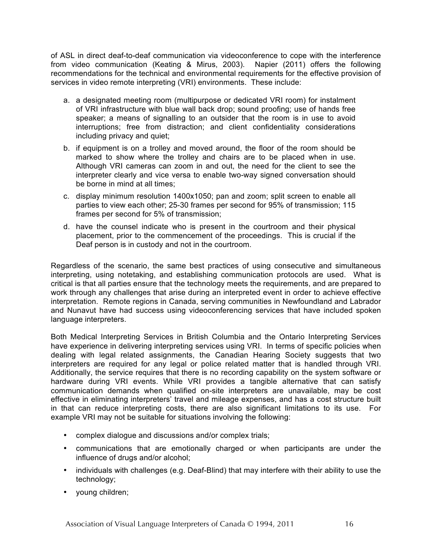of ASL in direct deaf-to-deaf communication via videoconference to cope with the interference from video communication (Keating & Mirus, 2003). Napier (2011) offers the following recommendations for the technical and environmental requirements for the effective provision of services in video remote interpreting (VRI) environments. These include:

- a. a designated meeting room (multipurpose or dedicated VRI room) for instalment of VRI infrastructure with blue wall back drop; sound proofing; use of hands free speaker; a means of signalling to an outsider that the room is in use to avoid interruptions; free from distraction; and client confidentiality considerations including privacy and quiet;
- b. if equipment is on a trolley and moved around, the floor of the room should be marked to show where the trolley and chairs are to be placed when in use. Although VRI cameras can zoom in and out, the need for the client to see the interpreter clearly and vice versa to enable two-way signed conversation should be borne in mind at all times;
- c. display minimum resolution 1400x1050; pan and zoom; split screen to enable all parties to view each other; 25-30 frames per second for 95% of transmission; 115 frames per second for 5% of transmission;
- d. have the counsel indicate who is present in the courtroom and their physical placement, prior to the commencement of the proceedings. This is crucial if the Deaf person is in custody and not in the courtroom.

Regardless of the scenario, the same best practices of using consecutive and simultaneous interpreting, using notetaking, and establishing communication protocols are used. What is critical is that all parties ensure that the technology meets the requirements, and are prepared to work through any challenges that arise during an interpreted event in order to achieve effective interpretation. Remote regions in Canada, serving communities in Newfoundland and Labrador and Nunavut have had success using videoconferencing services that have included spoken language interpreters.

Both Medical Interpreting Services in British Columbia and the Ontario Interpreting Services have experience in delivering interpreting services using VRI. In terms of specific policies when dealing with legal related assignments, the Canadian Hearing Society suggests that two interpreters are required for any legal or police related matter that is handled through VRI. Additionally, the service requires that there is no recording capability on the system software or hardware during VRI events. While VRI provides a tangible alternative that can satisfy communication demands when qualified on-site interpreters are unavailable, may be cost effective in eliminating interpreters' travel and mileage expenses, and has a cost structure built in that can reduce interpreting costs, there are also significant limitations to its use. For example VRI may not be suitable for situations involving the following:

- complex dialogue and discussions and/or complex trials;
- communications that are emotionally charged or when participants are under the influence of drugs and/or alcohol;
- individuals with challenges (e.g. Deaf-Blind) that may interfere with their ability to use the technology;
- young children;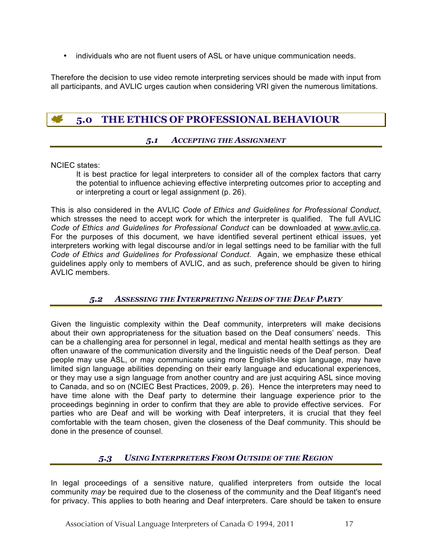• individuals who are not fluent users of ASL or have unique communication needs.

Therefore the decision to use video remote interpreting services should be made with input from all participants, and AVLIC urges caution when considering VRI given the numerous limitations.

# **5.0 THE ETHICS OF PROFESSIONAL BEHAVIOUR**

# *5.1 ACCEPTING THE ASSIGNMENT*

NCIEC states:

It is best practice for legal interpreters to consider all of the complex factors that carry the potential to influence achieving effective interpreting outcomes prior to accepting and or interpreting a court or legal assignment (p. 26).

This is also considered in the AVLIC *Code of Ethics and Guidelines for Professional Conduct*, which stresses the need to accept work for which the interpreter is qualified. The full AVLIC *Code of Ethics and Guidelines for Professional Conduct* can be downloaded at www.avlic.ca. For the purposes of this document, we have identified several pertinent ethical issues, yet interpreters working with legal discourse and/or in legal settings need to be familiar with the full *Code of Ethics and Guidelines for Professional Conduct*. Again, we emphasize these ethical guidelines apply only to members of AVLIC, and as such, preference should be given to hiring AVLIC members.

# *5.2 ASSESSING THE INTERPRETING NEEDS OF THE DEAF PARTY*

Given the linguistic complexity within the Deaf community, interpreters will make decisions about their own appropriateness for the situation based on the Deaf consumers' needs. This can be a challenging area for personnel in legal, medical and mental health settings as they are often unaware of the communication diversity and the linguistic needs of the Deaf person. Deaf people may use ASL, or may communicate using more English-like sign language, may have limited sign language abilities depending on their early language and educational experiences, or they may use a sign language from another country and are just acquiring ASL since moving to Canada, and so on (NCIEC Best Practices, 2009, p. 26). Hence the interpreters may need to have time alone with the Deaf party to determine their language experience prior to the proceedings beginning in order to confirm that they are able to provide effective services. For parties who are Deaf and will be working with Deaf interpreters, it is crucial that they feel comfortable with the team chosen, given the closeness of the Deaf community. This should be done in the presence of counsel.

# *5.3 USING INTERPRETERS FROM OUTSIDE OF THE REGION*

In legal proceedings of a sensitive nature, qualified interpreters from outside the local community *may* be required due to the closeness of the community and the Deaf litigant's need for privacy. This applies to both hearing and Deaf interpreters. Care should be taken to ensure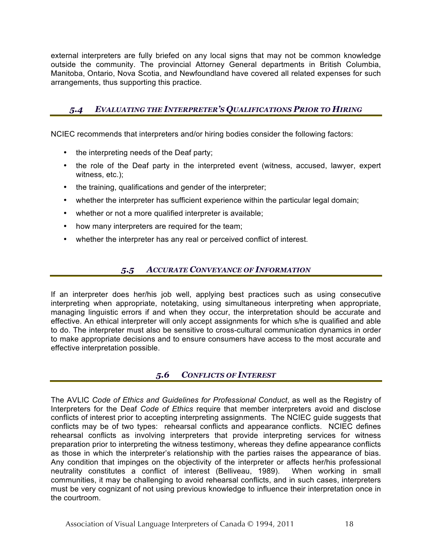external interpreters are fully briefed on any local signs that may not be common knowledge outside the community. The provincial Attorney General departments in British Columbia, Manitoba, Ontario, Nova Scotia, and Newfoundland have covered all related expenses for such arrangements, thus supporting this practice.

# *5.4 EVALUATING THE INTERPRETER'S QUALIFICATIONS PRIOR TO HIRING*

NCIEC recommends that interpreters and/or hiring bodies consider the following factors:

- the interpreting needs of the Deaf party;
- the role of the Deaf party in the interpreted event (witness, accused, lawyer, expert witness, etc.);
- the training, qualifications and gender of the interpreter;
- whether the interpreter has sufficient experience within the particular legal domain;
- whether or not a more qualified interpreter is available;
- how many interpreters are required for the team;
- whether the interpreter has any real or perceived conflict of interest.

# *5.5 ACCURATE CONVEYANCE OF INFORMATION*

If an interpreter does her/his job well, applying best practices such as using consecutive interpreting when appropriate, notetaking, using simultaneous interpreting when appropriate, managing linguistic errors if and when they occur, the interpretation should be accurate and effective. An ethical interpreter will only accept assignments for which s/he is qualified and able to do. The interpreter must also be sensitive to cross-cultural communication dynamics in order to make appropriate decisions and to ensure consumers have access to the most accurate and effective interpretation possible.

# *5.6 CONFLICTS OF INTEREST*

The AVLIC *Code of Ethics and Guidelines for Professional Conduct*, as well as the Registry of Interpreters for the Deaf *Code of Ethics* require that member interpreters avoid and disclose conflicts of interest prior to accepting interpreting assignments. The NCIEC guide suggests that conflicts may be of two types: rehearsal conflicts and appearance conflicts. NCIEC defines rehearsal conflicts as involving interpreters that provide interpreting services for witness preparation prior to interpreting the witness testimony, whereas they define appearance conflicts as those in which the interpreter's relationship with the parties raises the appearance of bias. Any condition that impinges on the objectivity of the interpreter or affects her/his professional neutrality constitutes a conflict of interest (Belliveau, 1989). When working in small communities, it may be challenging to avoid rehearsal conflicts, and in such cases, interpreters must be very cognizant of not using previous knowledge to influence their interpretation once in the courtroom.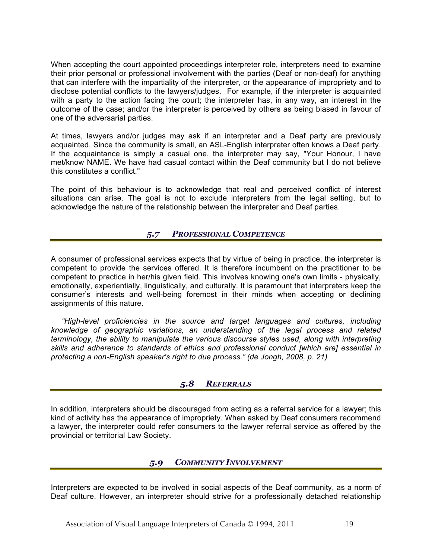When accepting the court appointed proceedings interpreter role, interpreters need to examine their prior personal or professional involvement with the parties (Deaf or non-deaf) for anything that can interfere with the impartiality of the interpreter, or the appearance of impropriety and to disclose potential conflicts to the lawyers/judges. For example, if the interpreter is acquainted with a party to the action facing the court; the interpreter has, in any way, an interest in the outcome of the case; and/or the interpreter is perceived by others as being biased in favour of one of the adversarial parties.

At times, lawyers and/or judges may ask if an interpreter and a Deaf party are previously acquainted. Since the community is small, an ASL-English interpreter often knows a Deaf party. If the acquaintance is simply a casual one, the interpreter may say, "Your Honour, I have met/know NAME. We have had casual contact within the Deaf community but I do not believe this constitutes a conflict."

The point of this behaviour is to acknowledge that real and perceived conflict of interest situations can arise. The goal is not to exclude interpreters from the legal setting, but to acknowledge the nature of the relationship between the interpreter and Deaf parties.

# *5.7 PROFESSIONAL COMPETENCE*

A consumer of professional services expects that by virtue of being in practice, the interpreter is competent to provide the services offered. It is therefore incumbent on the practitioner to be competent to practice in her/his given field. This involves knowing one's own limits - physically, emotionally, experientially, linguistically, and culturally. It is paramount that interpreters keep the consumer's interests and well-being foremost in their minds when accepting or declining assignments of this nature.

 *"High-level proficiencies in the source and target languages and cultures, including knowledge of geographic variations, an understanding of the legal process and related terminology, the ability to manipulate the various discourse styles used, along with interpreting skills and adherence to standards of ethics and professional conduct [which are] essential in protecting a non-English speaker's right to due process." (de Jongh, 2008, p. 21)*

# *5.8 REFERRALS*

In addition, interpreters should be discouraged from acting as a referral service for a lawyer; this kind of activity has the appearance of impropriety. When asked by Deaf consumers recommend a lawyer, the interpreter could refer consumers to the lawyer referral service as offered by the provincial or territorial Law Society.

# *5.9 COMMUNITY INVOLVEMENT*

Interpreters are expected to be involved in social aspects of the Deaf community, as a norm of Deaf culture. However, an interpreter should strive for a professionally detached relationship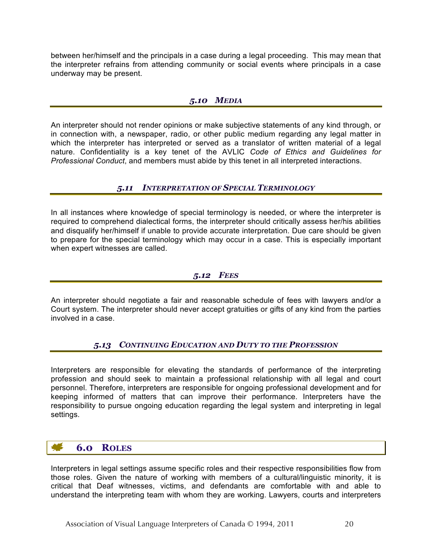between her/himself and the principals in a case during a legal proceeding. This may mean that the interpreter refrains from attending community or social events where principals in a case underway may be present.

# *5.10 MEDIA*

An interpreter should not render opinions or make subjective statements of any kind through, or in connection with, a newspaper, radio, or other public medium regarding any legal matter in which the interpreter has interpreted or served as a translator of written material of a legal nature. Confidentiality is a key tenet of the AVLIC *Code of Ethics and Guidelines for Professional Conduct*, and members must abide by this tenet in all interpreted interactions.

# *5.11 INTERPRETATION OF SPECIAL TERMINOLOGY*

In all instances where knowledge of special terminology is needed, or where the interpreter is required to comprehend dialectical forms, the interpreter should critically assess her/his abilities and disqualify her/himself if unable to provide accurate interpretation. Due care should be given to prepare for the special terminology which may occur in a case. This is especially important when expert witnesses are called.

# *5.12 FEES*

An interpreter should negotiate a fair and reasonable schedule of fees with lawyers and/or a Court system. The interpreter should never accept gratuities or gifts of any kind from the parties involved in a case.

# *5.13 CONTINUING EDUCATION AND DUTY TO THE PROFESSION*

Interpreters are responsible for elevating the standards of performance of the interpreting profession and should seek to maintain a professional relationship with all legal and court personnel. Therefore, interpreters are responsible for ongoing professional development and for keeping informed of matters that can improve their performance. Interpreters have the responsibility to pursue ongoing education regarding the legal system and interpreting in legal settings.

# **6.0 ROLES**

Interpreters in legal settings assume specific roles and their respective responsibilities flow from those roles. Given the nature of working with members of a cultural/linguistic minority, it is critical that Deaf witnesses, victims, and defendants are comfortable with and able to understand the interpreting team with whom they are working. Lawyers, courts and interpreters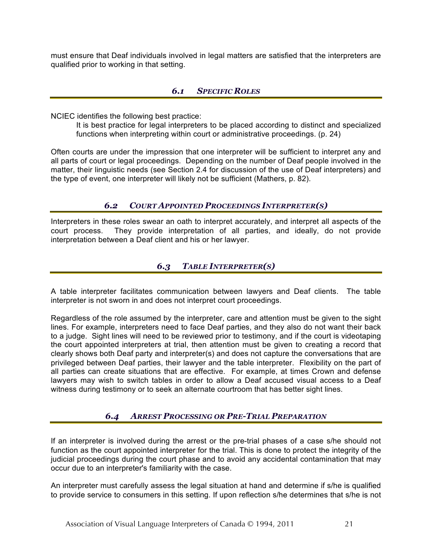must ensure that Deaf individuals involved in legal matters are satisfied that the interpreters are qualified prior to working in that setting.

# *6.1 SPECIFIC ROLES*

NCIEC identifies the following best practice:

It is best practice for legal interpreters to be placed according to distinct and specialized functions when interpreting within court or administrative proceedings. (p. 24)

Often courts are under the impression that one interpreter will be sufficient to interpret any and all parts of court or legal proceedings. Depending on the number of Deaf people involved in the matter, their linguistic needs (see Section 2.4 for discussion of the use of Deaf interpreters) and the type of event, one interpreter will likely not be sufficient (Mathers, p. 82).

# *6.2 COURT APPOINTED PROCEEDINGS INTERPRETER(S)*

Interpreters in these roles swear an oath to interpret accurately, and interpret all aspects of the court process. They provide interpretation of all parties, and ideally, do not provide interpretation between a Deaf client and his or her lawyer.

# *6.3 TABLE INTERPRETER(S)*

A table interpreter facilitates communication between lawyers and Deaf clients. The table interpreter is not sworn in and does not interpret court proceedings.

Regardless of the role assumed by the interpreter, care and attention must be given to the sight lines. For example, interpreters need to face Deaf parties, and they also do not want their back to a judge. Sight lines will need to be reviewed prior to testimony, and if the court is videotaping the court appointed interpreters at trial, then attention must be given to creating a record that clearly shows both Deaf party and interpreter(s) and does not capture the conversations that are privileged between Deaf parties, their lawyer and the table interpreter. Flexibility on the part of all parties can create situations that are effective. For example, at times Crown and defense lawyers may wish to switch tables in order to allow a Deaf accused visual access to a Deaf witness during testimony or to seek an alternate courtroom that has better sight lines.

# *6.4 ARREST PROCESSING OR PRE-TRIAL PREPARATION*

If an interpreter is involved during the arrest or the pre-trial phases of a case s/he should not function as the court appointed interpreter for the trial. This is done to protect the integrity of the judicial proceedings during the court phase and to avoid any accidental contamination that may occur due to an interpreter's familiarity with the case.

An interpreter must carefully assess the legal situation at hand and determine if s/he is qualified to provide service to consumers in this setting. If upon reflection s/he determines that s/he is not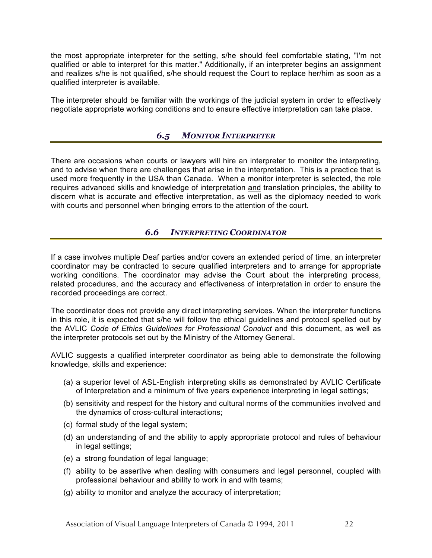the most appropriate interpreter for the setting, s/he should feel comfortable stating, "I'm not qualified or able to interpret for this matter." Additionally, if an interpreter begins an assignment and realizes s/he is not qualified, s/he should request the Court to replace her/him as soon as a qualified interpreter is available.

The interpreter should be familiar with the workings of the judicial system in order to effectively negotiate appropriate working conditions and to ensure effective interpretation can take place.

# *6.5 MONITOR INTERPRETER*

There are occasions when courts or lawyers will hire an interpreter to monitor the interpreting, and to advise when there are challenges that arise in the interpretation. This is a practice that is used more frequently in the USA than Canada. When a monitor interpreter is selected, the role requires advanced skills and knowledge of interpretation and translation principles, the ability to discern what is accurate and effective interpretation, as well as the diplomacy needed to work with courts and personnel when bringing errors to the attention of the court.

# *6.6 INTERPRETING COORDINATOR*

If a case involves multiple Deaf parties and/or covers an extended period of time, an interpreter coordinator may be contracted to secure qualified interpreters and to arrange for appropriate working conditions. The coordinator may advise the Court about the interpreting process, related procedures, and the accuracy and effectiveness of interpretation in order to ensure the recorded proceedings are correct.

The coordinator does not provide any direct interpreting services. When the interpreter functions in this role, it is expected that s/he will follow the ethical guidelines and protocol spelled out by the AVLIC *Code of Ethics Guidelines for Professional Conduct* and this document, as well as the interpreter protocols set out by the Ministry of the Attorney General.

AVLIC suggests a qualified interpreter coordinator as being able to demonstrate the following knowledge, skills and experience:

- (a) a superior level of ASL-English interpreting skills as demonstrated by AVLIC Certificate of Interpretation and a minimum of five years experience interpreting in legal settings;
- (b) sensitivity and respect for the history and cultural norms of the communities involved and the dynamics of cross-cultural interactions;
- (c) formal study of the legal system;
- (d) an understanding of and the ability to apply appropriate protocol and rules of behaviour in legal settings;
- (e) a strong foundation of legal language;
- (f) ability to be assertive when dealing with consumers and legal personnel, coupled with professional behaviour and ability to work in and with teams;
- (g) ability to monitor and analyze the accuracy of interpretation;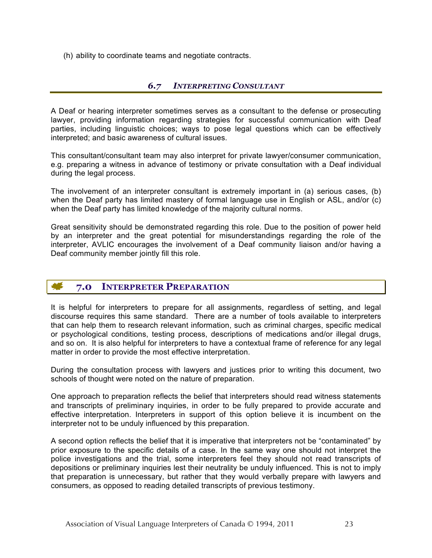(h) ability to coordinate teams and negotiate contracts.

# *6.7 INTERPRETING CONSULTANT*

A Deaf or hearing interpreter sometimes serves as a consultant to the defense or prosecuting lawyer, providing information regarding strategies for successful communication with Deaf parties, including linguistic choices; ways to pose legal questions which can be effectively interpreted; and basic awareness of cultural issues.

This consultant/consultant team may also interpret for private lawyer/consumer communication, e.g. preparing a witness in advance of testimony or private consultation with a Deaf individual during the legal process.

The involvement of an interpreter consultant is extremely important in (a) serious cases, (b) when the Deaf party has limited mastery of formal language use in English or ASL, and/or (c) when the Deaf party has limited knowledge of the majority cultural norms.

Great sensitivity should be demonstrated regarding this role. Due to the position of power held by an interpreter and the great potential for misunderstandings regarding the role of the interpreter, AVLIC encourages the involvement of a Deaf community liaison and/or having a Deaf community member jointly fill this role.

# **7.0 INTERPRETER PREPARATION**

It is helpful for interpreters to prepare for all assignments, regardless of setting, and legal discourse requires this same standard. There are a number of tools available to interpreters that can help them to research relevant information, such as criminal charges, specific medical or psychological conditions, testing process, descriptions of medications and/or illegal drugs, and so on. It is also helpful for interpreters to have a contextual frame of reference for any legal matter in order to provide the most effective interpretation.

During the consultation process with lawyers and justices prior to writing this document, two schools of thought were noted on the nature of preparation.

One approach to preparation reflects the belief that interpreters should read witness statements and transcripts of preliminary inquiries, in order to be fully prepared to provide accurate and effective interpretation. Interpreters in support of this option believe it is incumbent on the interpreter not to be unduly influenced by this preparation.

A second option reflects the belief that it is imperative that interpreters not be "contaminated" by prior exposure to the specific details of a case. In the same way one should not interpret the police investigations and the trial, some interpreters feel they should not read transcripts of depositions or preliminary inquiries lest their neutrality be unduly influenced. This is not to imply that preparation is unnecessary, but rather that they would verbally prepare with lawyers and consumers, as opposed to reading detailed transcripts of previous testimony.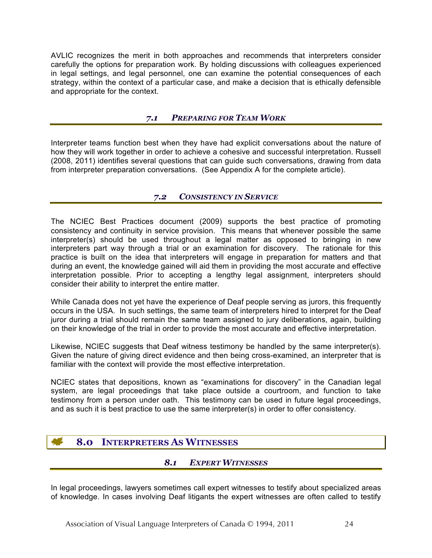AVLIC recognizes the merit in both approaches and recommends that interpreters consider carefully the options for preparation work. By holding discussions with colleagues experienced in legal settings, and legal personnel, one can examine the potential consequences of each strategy, within the context of a particular case, and make a decision that is ethically defensible and appropriate for the context.

# *7.1 PREPARING FOR TEAM WORK*

Interpreter teams function best when they have had explicit conversations about the nature of how they will work together in order to achieve a cohesive and successful interpretation. Russell (2008, 2011) identifies several questions that can guide such conversations, drawing from data from interpreter preparation conversations. (See Appendix A for the complete article).

# *7.2 CONSISTENCY IN SERVICE*

The NCIEC Best Practices document (2009) supports the best practice of promoting consistency and continuity in service provision. This means that whenever possible the same interpreter(s) should be used throughout a legal matter as opposed to bringing in new interpreters part way through a trial or an examination for discovery. The rationale for this practice is built on the idea that interpreters will engage in preparation for matters and that during an event, the knowledge gained will aid them in providing the most accurate and effective interpretation possible. Prior to accepting a lengthy legal assignment, interpreters should consider their ability to interpret the entire matter.

While Canada does not yet have the experience of Deaf people serving as jurors, this frequently occurs in the USA. In such settings, the same team of interpreters hired to interpret for the Deaf juror during a trial should remain the same team assigned to jury deliberations, again, building on their knowledge of the trial in order to provide the most accurate and effective interpretation.

Likewise, NCIEC suggests that Deaf witness testimony be handled by the same interpreter(s). Given the nature of giving direct evidence and then being cross-examined, an interpreter that is familiar with the context will provide the most effective interpretation.

NCIEC states that depositions, known as "examinations for discovery" in the Canadian legal system, are legal proceedings that take place outside a courtroom, and function to take testimony from a person under oath. This testimony can be used in future legal proceedings, and as such it is best practice to use the same interpreter(s) in order to offer consistency.

# **8.0 INTERPRETERS AS WITNESSES**

# *8.1 EXPERT WITNESSES*

In legal proceedings, lawyers sometimes call expert witnesses to testify about specialized areas of knowledge. In cases involving Deaf litigants the expert witnesses are often called to testify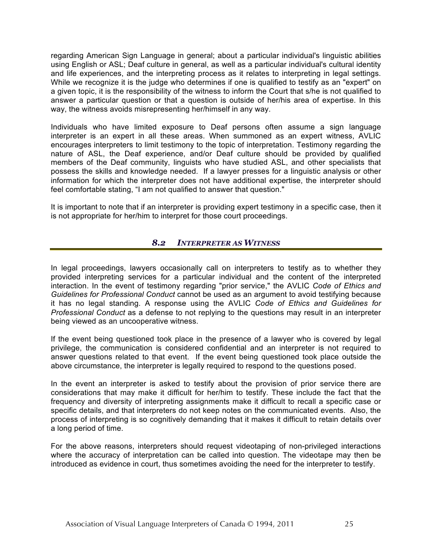regarding American Sign Language in general; about a particular individual's linguistic abilities using English or ASL; Deaf culture in general, as well as a particular individual's cultural identity and life experiences, and the interpreting process as it relates to interpreting in legal settings. While we recognize it is the judge who determines if one is qualified to testify as an "expert" on a given topic, it is the responsibility of the witness to inform the Court that s/he is not qualified to answer a particular question or that a question is outside of her/his area of expertise. In this way, the witness avoids misrepresenting her/himself in any way.

Individuals who have limited exposure to Deaf persons often assume a sign language interpreter is an expert in all these areas. When summoned as an expert witness, AVLIC encourages interpreters to limit testimony to the topic of interpretation. Testimony regarding the nature of ASL, the Deaf experience, and/or Deaf culture should be provided by qualified members of the Deaf community, linguists who have studied ASL, and other specialists that possess the skills and knowledge needed. If a lawyer presses for a linguistic analysis or other information for which the interpreter does not have additional expertise, the interpreter should feel comfortable stating, "I am not qualified to answer that question."

It is important to note that if an interpreter is providing expert testimony in a specific case, then it is not appropriate for her/him to interpret for those court proceedings.

# *8.2 INTERPRETER AS WITNESS*

In legal proceedings, lawyers occasionally call on interpreters to testify as to whether they provided interpreting services for a particular individual and the content of the interpreted interaction. In the event of testimony regarding "prior service," the AVLIC *Code of Ethics and Guidelines for Professional Conduct* cannot be used as an argument to avoid testifying because it has no legal standing. A response using the AVLIC *Code of Ethics and Guidelines for Professional Conduct* as a defense to not replying to the questions may result in an interpreter being viewed as an uncooperative witness.

If the event being questioned took place in the presence of a lawyer who is covered by legal privilege, the communication is considered confidential and an interpreter is not required to answer questions related to that event. If the event being questioned took place outside the above circumstance, the interpreter is legally required to respond to the questions posed.

In the event an interpreter is asked to testify about the provision of prior service there are considerations that may make it difficult for her/him to testify. These include the fact that the frequency and diversity of interpreting assignments make it difficult to recall a specific case or specific details, and that interpreters do not keep notes on the communicated events. Also, the process of interpreting is so cognitively demanding that it makes it difficult to retain details over a long period of time.

For the above reasons, interpreters should request videotaping of non-privileged interactions where the accuracy of interpretation can be called into question. The videotape may then be introduced as evidence in court, thus sometimes avoiding the need for the interpreter to testify.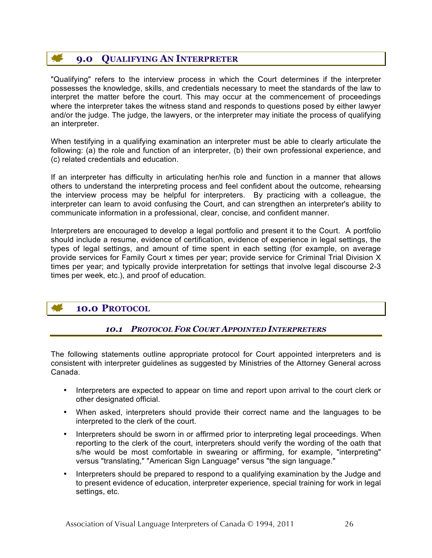# **9.0 QUALIFYING AN INTERPRETER**

"Qualifying" refers to the interview process in which the Court determines if the interpreter possesses the knowledge, skills, and credentials necessary to meet the standards of the law to interpret the matter before the court. This may occur at the commencement of proceedings where the interpreter takes the witness stand and responds to questions posed by either lawyer and/or the judge. The judge, the lawyers, or the interpreter may initiate the process of qualifying an interpreter.

When testifying in a qualifying examination an interpreter must be able to clearly articulate the following: (a) the role and function of an interpreter, (b) their own professional experience, and (c) related credentials and education.

If an interpreter has difficulty in articulating her/his role and function in a manner that allows others to understand the interpreting process and feel confident about the outcome, rehearsing the interview process may be helpful for interpreters. By practicing with a colleague, the interpreter can learn to avoid confusing the Court, and can strengthen an interpreter's ability to communicate information in a professional, clear, concise, and confident manner.

Interpreters are encouraged to develop a legal portfolio and present it to the Court. A portfolio should include a resume, evidence of certification, evidence of experience in legal settings, the types of legal settings, and amount of time spent in each setting (for example, on average provide services for Family Court x times per year; provide service for Criminal Trial Division X times per year; and typically provide interpretation for settings that involve legal discourse 2-3 times per week, etc.), and proof of education.

# **10.0 PROTOCOL**

# *10.1 PROTOCOL FOR COURT APPOINTED INTERPRETERS*

The following statements outline appropriate protocol for Court appointed interpreters and is consistent with interpreter guidelines as suggested by Ministries of the Attorney General across Canada.

- Interpreters are expected to appear on time and report upon arrival to the court clerk or other designated official.
- When asked, interpreters should provide their correct name and the languages to be interpreted to the clerk of the court.
- Interpreters should be sworn in or affirmed prior to interpreting legal proceedings. When reporting to the clerk of the court, interpreters should verify the wording of the oath that s/he would be most comfortable in swearing or affirming, for example, "interpreting" versus "translating," "American Sign Language" versus "the sign language."
- Interpreters should be prepared to respond to a qualifying examination by the Judge and to present evidence of education, interpreter experience, special training for work in legal settings, etc.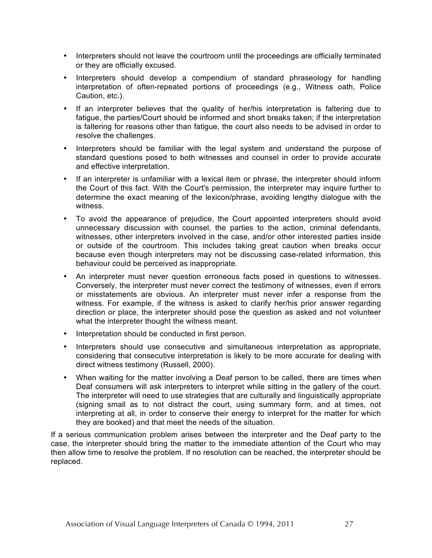- Interpreters should not leave the courtroom until the proceedings are officially terminated or they are officially excused.
- Interpreters should develop a compendium of standard phraseology for handling interpretation of often-repeated portions of proceedings (e.g., Witness oath, Police Caution, etc.).
- If an interpreter believes that the quality of her/his interpretation is faltering due to fatigue, the parties/Court should be informed and short breaks taken; if the interpretation is faltering for reasons other than fatigue, the court also needs to be advised in order to resolve the challenges.
- Interpreters should be familiar with the legal system and understand the purpose of standard questions posed to both witnesses and counsel in order to provide accurate and effective interpretation.
- If an interpreter is unfamiliar with a lexical item or phrase, the interpreter should inform the Court of this fact. With the Court's permission, the interpreter may inquire further to determine the exact meaning of the lexicon/phrase, avoiding lengthy dialogue with the witness.
- To avoid the appearance of prejudice, the Court appointed interpreters should avoid unnecessary discussion with counsel, the parties to the action, criminal defendants, witnesses, other interpreters involved in the case, and/or other interested parties inside or outside of the courtroom. This includes taking great caution when breaks occur because even though interpreters may not be discussing case-related information, this behaviour could be perceived as inappropriate.
- An interpreter must never question erroneous facts posed in questions to witnesses. Conversely, the interpreter must never correct the testimony of witnesses, even if errors or misstatements are obvious. An interpreter must never infer a response from the witness. For example, if the witness is asked to clarify her/his prior answer regarding direction or place, the interpreter should pose the question as asked and not volunteer what the interpreter thought the witness meant.
- Interpretation should be conducted in first person.
- Interpreters should use consecutive and simultaneous interpretation as appropriate, considering that consecutive interpretation is likely to be more accurate for dealing with direct witness testimony (Russell, 2000).
- When waiting for the matter involving a Deaf person to be called, there are times when Deaf consumers will ask interpreters to interpret while sitting in the gallery of the court. The interpreter will need to use strategies that are culturally and linguistically appropriate (signing small as to not distract the court, using summary form, and at times, not interpreting at all, in order to conserve their energy to interpret for the matter for which they are booked) and that meet the needs of the situation.

If a serious communication problem arises between the interpreter and the Deaf party to the case, the interpreter should bring the matter to the immediate attention of the Court who may then allow time to resolve the problem. If no resolution can be reached, the interpreter should be replaced.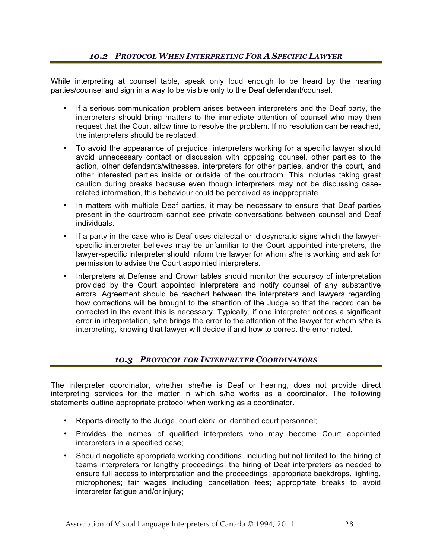While interpreting at counsel table, speak only loud enough to be heard by the hearing parties/counsel and sign in a way to be visible only to the Deaf defendant/counsel.

- If a serious communication problem arises between interpreters and the Deaf party, the interpreters should bring matters to the immediate attention of counsel who may then request that the Court allow time to resolve the problem. If no resolution can be reached, the interpreters should be replaced.
- To avoid the appearance of prejudice, interpreters working for a specific lawyer should avoid unnecessary contact or discussion with opposing counsel, other parties to the action, other defendants/witnesses, interpreters for other parties, and/or the court, and other interested parties inside or outside of the courtroom. This includes taking great caution during breaks because even though interpreters may not be discussing caserelated information, this behaviour could be perceived as inappropriate.
- In matters with multiple Deaf parties, it may be necessary to ensure that Deaf parties present in the courtroom cannot see private conversations between counsel and Deaf individuals.
- If a party in the case who is Deaf uses dialectal or idiosyncratic signs which the lawyerspecific interpreter believes may be unfamiliar to the Court appointed interpreters, the lawyer-specific interpreter should inform the lawyer for whom s/he is working and ask for permission to advise the Court appointed interpreters.
- Interpreters at Defense and Crown tables should monitor the accuracy of interpretation provided by the Court appointed interpreters and notify counsel of any substantive errors. Agreement should be reached between the interpreters and lawyers regarding how corrections will be brought to the attention of the Judge so that the record can be corrected in the event this is necessary. Typically, if one interpreter notices a significant error in interpretation, s/he brings the error to the attention of the lawyer for whom s/he is interpreting, knowing that lawyer will decide if and how to correct the error noted.

# *10.3 PROTOCOL FOR INTERPRETER COORDINATORS*

The interpreter coordinator, whether she/he is Deaf or hearing, does not provide direct interpreting services for the matter in which s/he works as a coordinator. The following statements outline appropriate protocol when working as a coordinator.

- Reports directly to the Judge, court clerk, or identified court personnel;
- Provides the names of qualified interpreters who may become Court appointed interpreters in a specified case;
- Should negotiate appropriate working conditions, including but not limited to: the hiring of teams interpreters for lengthy proceedings; the hiring of Deaf interpreters as needed to ensure full access to interpretation and the proceedings; appropriate backdrops, lighting, microphones; fair wages including cancellation fees; appropriate breaks to avoid interpreter fatigue and/or injury;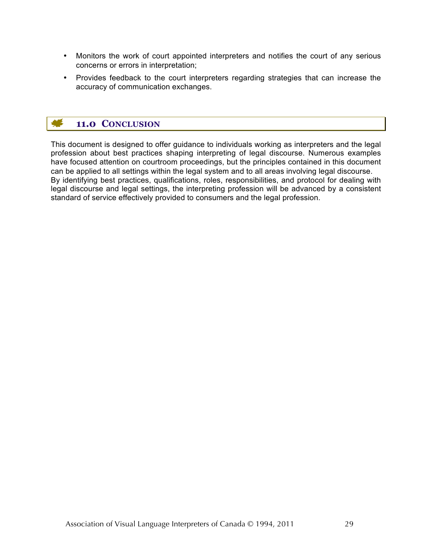- Monitors the work of court appointed interpreters and notifies the court of any serious concerns or errors in interpretation;
- Provides feedback to the court interpreters regarding strategies that can increase the accuracy of communication exchanges.

# **11.0 CONCLUSION**

This document is designed to offer guidance to individuals working as interpreters and the legal profession about best practices shaping interpreting of legal discourse. Numerous examples have focused attention on courtroom proceedings, but the principles contained in this document can be applied to all settings within the legal system and to all areas involving legal discourse. By identifying best practices, qualifications, roles, responsibilities, and protocol for dealing with legal discourse and legal settings, the interpreting profession will be advanced by a consistent standard of service effectively provided to consumers and the legal profession.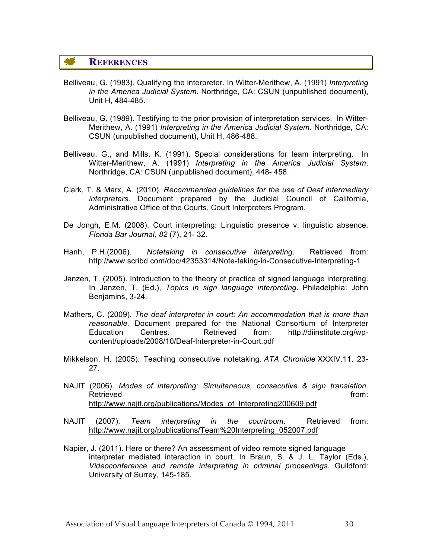## **REFERENCES**

- Belliveau, G. (1983). Qualifying the interpreter. In Witter-Merithew, A. (1991) *Interpreting in the America Judicial System*. Northridge, CA: CSUN (unpublished document), Unit H, 484-485.
- Belliveau, G. (1989). Testifying to the prior provision of interpretation services. In Witter-Merithew, A. (1991) *Interpreting in the America Judicial System*. Northridge, CA: CSUN (unpublished document), Unit H, 486-488.
- Belliveau, G., and Mills, K. (1991). Special considerations for team interpreting. In Witter-Merithew, A. (1991) *Interpreting in the America Judicial System*. Northridge, CA: CSUN (unpublished document), 448- 458.
- Clark, T. & Marx, A. (2010). *Recommended guidelines for the use of Deaf intermediary interpreters*. Document prepared by the Judicial Council of California, Administrative Office of the Courts, Court Interpreters Program.
- De Jongh, E.M. (2008). Court interpreting: Linguistic presence v. linguistic absence. *Florida Bar Journal, 82* (7), 21- 32.
- Hanh, P.H.(2006). *Notetaking in consecutive interpreting*. Retrieved from: http://www.scribd.com/doc/42353314/Note-taking-in-Consecutive-Interpreting-1
- Janzen, T. (2005). Introduction to the theory of practice of signed language interpreting. In Janzen, T. (Ed.), *Topics in sign language interpreting*. Philadelphia: John Benjamins, 3-24.
- Mathers, C. (2009). *The deaf interpreter in court: An accommodation that is more than reasonable.* Document prepared for the National Consortium of Interpreter Education Centres. Retrieved from: http://diinstitute.org/wpcontent/uploads/2008/10/Deaf-Interpreter-in-Court.pdf
- Mikkelson, H. (2005). Teaching consecutive notetaking. *ATA Chronicle* XXXIV.11, 23- 27.
- NAJIT (2006). *Modes of interpreting: Simultaneous, consecutive & sign translation*. Retrieved **from:** The contract of the contract of the contract of the contract of the contract of the contract of the contract of the contract of the contract of the contract of the contract of the contract of the contract http://www.najit.org/publications/Modes\_of\_Interpreting200609.pdf
- NAJIT (2007). *Team interpreting in the courtroom*. Retrieved from: http://www.najit.org/publications/Team%20Interpreting\_052007.pdf
- Napier, J. (2011). Here or there? An assessment of video remote signed language interpreter mediated interaction in court. In Braun, S. & J. L. Taylor (Eds.), *Videoconference and remote interpreting in criminal proceedings.* Guildford: University of Surrey, 145-185.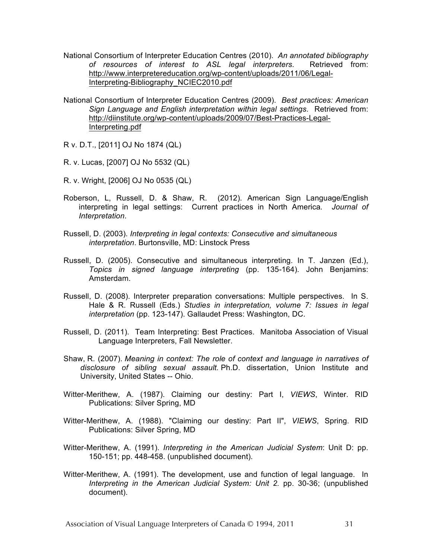- National Consortium of Interpreter Education Centres (2010). *An annotated bibliography of resources of interest to ASL legal interpreters*. Retrieved from: http://www.interpretereducation.org/wp-content/uploads/2011/06/Legal-Interpreting-Bibliography\_NCIEC2010.pdf
- National Consortium of Interpreter Education Centres (2009). *Best practices: American Sign Language and English interpretation within legal settings*. Retrieved from: http://diinstitute.org/wp-content/uploads/2009/07/Best-Practices-Legal-Interpreting.pdf
- R v. D.T., [2011] OJ No 1874 (QL)
- R. v. Lucas, [2007] OJ No 5532 (QL)
- R. v. Wright, [2006] OJ No 0535 (QL)
- Roberson, L, Russell, D. & Shaw, R. (2012). American Sign Language/English interpreting in legal settings: Current practices in North America*. Journal of Interpretation*.
- Russell, D. (2003). *Interpreting in legal contexts: Consecutive and simultaneous interpretation*. Burtonsville, MD: Linstock Press
- Russell, D. (2005). Consecutive and simultaneous interpreting. In T. Janzen (Ed.), *Topics in signed language interpreting* (pp. 135-164). John Benjamins: Amsterdam.
- Russell, D. (2008). Interpreter preparation conversations: Multiple perspectives. In S. Hale & R. Russell (Eds.) *Studies in interpretation, volume 7: Issues in legal interpretation* (pp. 123-147). Gallaudet Press: Washington, DC.
- Russell, D. (2011). Team Interpreting: Best Practices. Manitoba Association of Visual Language Interpreters, Fall Newsletter.
- Shaw, R. (2007). *Meaning in context: The role of context and language in narratives of disclosure of sibling sexual assault.* Ph.D. dissertation, Union Institute and University, United States -- Ohio.
- Witter-Merithew, A. (1987). Claiming our destiny: Part I, *VIEWS*, Winter. RID Publications: Silver Spring, MD
- Witter-Merithew, A. (1988). "Claiming our destiny: Part II", *VIEWS*, Spring. RID Publications: Silver Spring, MD
- Witter-Merithew, A. (1991). *Interpreting in the American Judicial System*: Unit D: pp. 150-151; pp. 448-458. (unpublished document).
- Witter-Merithew, A. (1991). The development, use and function of legal language. In *Interpreting in the American Judicial System: Unit 2.* pp. 30-36; (unpublished document).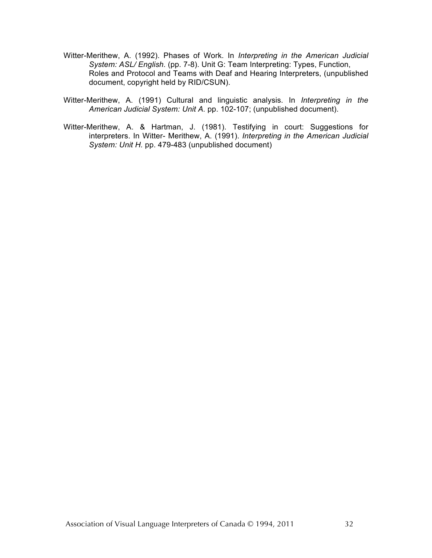- Witter-Merithew, A. (1992). Phases of Work. In *Interpreting in the American Judicial System: ASL/ English.* (pp. 7-8). Unit G: Team Interpreting: Types, Function, Roles and Protocol and Teams with Deaf and Hearing Interpreters, (unpublished document, copyright held by RID/CSUN).
- Witter-Merithew, A. (1991) Cultural and linguistic analysis. In *Interpreting in the American Judicial System: Unit A.* pp. 102-107; (unpublished document).
- Witter-Merithew, A. & Hartman, J. (1981). Testifying in court: Suggestions for interpreters. In Witter- Merithew, A. (1991). *Interpreting in the American Judicial System: Unit H.* pp. 479-483 (unpublished document)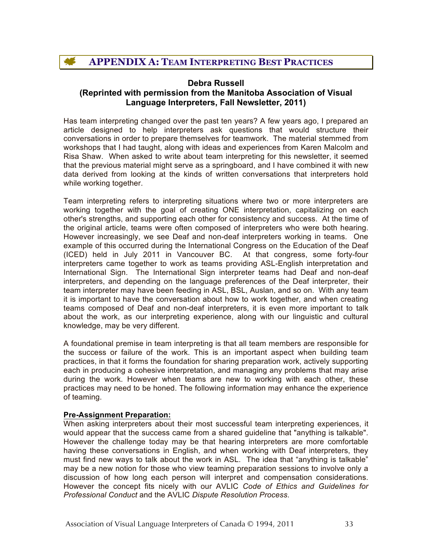# **Debra Russell (Reprinted with permission from the Manitoba Association of Visual Language Interpreters, Fall Newsletter, 2011)**

Has team interpreting changed over the past ten years? A few years ago, I prepared an article designed to help interpreters ask questions that would structure their conversations in order to prepare themselves for teamwork. The material stemmed from workshops that I had taught, along with ideas and experiences from Karen Malcolm and Risa Shaw. When asked to write about team interpreting for this newsletter, it seemed that the previous material might serve as a springboard, and I have combined it with new data derived from looking at the kinds of written conversations that interpreters hold while working together.

Team interpreting refers to interpreting situations where two or more interpreters are working together with the goal of creating ONE interpretation, capitalizing on each other's strengths, and supporting each other for consistency and success. At the time of the original article, teams were often composed of interpreters who were both hearing. However increasingly, we see Deaf and non-deaf interpreters working in teams. One example of this occurred during the International Congress on the Education of the Deaf (ICED) held in July 2011 in Vancouver BC. At that congress, some forty-four interpreters came together to work as teams providing ASL-English interpretation and International Sign. The International Sign interpreter teams had Deaf and non-deaf interpreters, and depending on the language preferences of the Deaf interpreter, their team interpreter may have been feeding in ASL, BSL, Auslan, and so on. With any team it is important to have the conversation about how to work together, and when creating teams composed of Deaf and non-deaf interpreters, it is even more important to talk about the work, as our interpreting experience, along with our linguistic and cultural knowledge, may be very different.

A foundational premise in team interpreting is that all team members are responsible for the success or failure of the work. This is an important aspect when building team practices, in that it forms the foundation for sharing preparation work, actively supporting each in producing a cohesive interpretation, and managing any problems that may arise during the work. However when teams are new to working with each other, these practices may need to be honed. The following information may enhance the experience of teaming.

# **Pre-Assignment Preparation:**

When asking interpreters about their most successful team interpreting experiences, it would appear that the success came from a shared guideline that "anything is talkable". However the challenge today may be that hearing interpreters are more comfortable having these conversations in English, and when working with Deaf interpreters, they must find new ways to talk about the work in ASL. The idea that "anything is talkable" may be a new notion for those who view teaming preparation sessions to involve only a discussion of how long each person will interpret and compensation considerations. However the concept fits nicely with our AVLIC *Code of Ethics and Guidelines for Professional Conduct* and the AVLIC *Dispute Resolution Process*.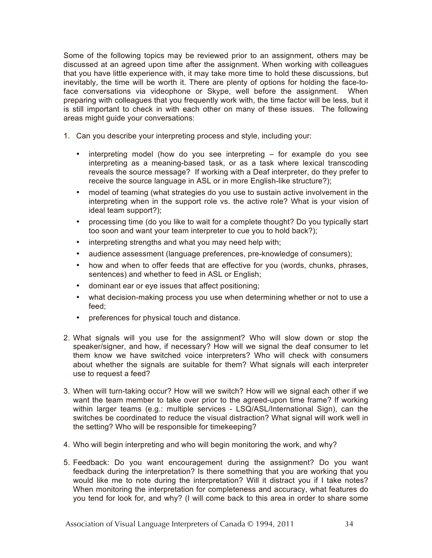Some of the following topics may be reviewed prior to an assignment, others may be discussed at an agreed upon time after the assignment. When working with colleagues that you have little experience with, it may take more time to hold these discussions, but inevitably, the time will be worth it. There are plenty of options for holding the face-toface conversations via videophone or Skype, well before the assignment. When preparing with colleagues that you frequently work with, the time factor will be less, but it is still important to check in with each other on many of these issues. The following areas might guide your conversations:

- 1. Can you describe your interpreting process and style, including your:
	- interpreting model (how do you see interpreting for example do you see interpreting as a meaning-based task, or as a task where lexical transcoding reveals the source message? If working with a Deaf interpreter, do they prefer to receive the source language in ASL or in more English-like structure?);
	- model of teaming (what strategies do you use to sustain active involvement in the interpreting when in the support role vs. the active role? What is your vision of ideal team support?);
	- processing time (do you like to wait for a complete thought? Do you typically start too soon and want your team interpreter to cue you to hold back?);
	- interpreting strengths and what you may need help with;
	- audience assessment (language preferences, pre-knowledge of consumers);
	- how and when to offer feeds that are effective for you (words, chunks, phrases, sentences) and whether to feed in ASL or English;
	- dominant ear or eye issues that affect positioning;
	- what decision-making process you use when determining whether or not to use a feed;
	- preferences for physical touch and distance.
- 2. What signals will you use for the assignment? Who will slow down or stop the speaker/signer, and how, if necessary? How will we signal the deaf consumer to let them know we have switched voice interpreters? Who will check with consumers about whether the signals are suitable for them? What signals will each interpreter use to request a feed?
- 3. When will turn-taking occur? How will we switch? How will we signal each other if we want the team member to take over prior to the agreed-upon time frame? If working within larger teams (e.g.: multiple services - LSQ/ASL/International Sign), can the switches be coordinated to reduce the visual distraction? What signal will work well in the setting? Who will be responsible for timekeeping?
- 4. Who will begin interpreting and who will begin monitoring the work, and why?
- 5. Feedback: Do you want encouragement during the assignment? Do you want feedback during the interpretation? Is there something that you are working that you would like me to note during the interpretation? Will it distract you if I take notes? When monitoring the interpretation for completeness and accuracy, what features do you tend for look for, and why? (I will come back to this area in order to share some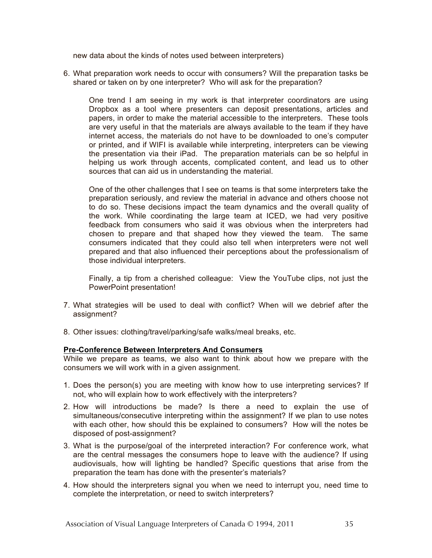new data about the kinds of notes used between interpreters)

6. What preparation work needs to occur with consumers? Will the preparation tasks be shared or taken on by one interpreter? Who will ask for the preparation?

One trend I am seeing in my work is that interpreter coordinators are using Dropbox as a tool where presenters can deposit presentations, articles and papers, in order to make the material accessible to the interpreters. These tools are very useful in that the materials are always available to the team if they have internet access, the materials do not have to be downloaded to one's computer or printed, and if WIFI is available while interpreting, interpreters can be viewing the presentation via their iPad. The preparation materials can be so helpful in helping us work through accents, complicated content, and lead us to other sources that can aid us in understanding the material.

One of the other challenges that I see on teams is that some interpreters take the preparation seriously, and review the material in advance and others choose not to do so. These decisions impact the team dynamics and the overall quality of the work. While coordinating the large team at ICED, we had very positive feedback from consumers who said it was obvious when the interpreters had chosen to prepare and that shaped how they viewed the team. The same consumers indicated that they could also tell when interpreters were not well prepared and that also influenced their perceptions about the professionalism of those individual interpreters.

Finally, a tip from a cherished colleague: View the YouTube clips, not just the PowerPoint presentation!

- 7. What strategies will be used to deal with conflict? When will we debrief after the assignment?
- 8. Other issues: clothing/travel/parking/safe walks/meal breaks, etc.

#### **Pre-Conference Between Interpreters And Consumers**

While we prepare as teams, we also want to think about how we prepare with the consumers we will work with in a given assignment.

- 1. Does the person(s) you are meeting with know how to use interpreting services? If not, who will explain how to work effectively with the interpreters?
- 2. How will introductions be made? Is there a need to explain the use of simultaneous/consecutive interpreting within the assignment? If we plan to use notes with each other, how should this be explained to consumers? How will the notes be disposed of post-assignment?
- 3. What is the purpose/goal of the interpreted interaction? For conference work, what are the central messages the consumers hope to leave with the audience? If using audiovisuals, how will lighting be handled? Specific questions that arise from the preparation the team has done with the presenter's materials?
- 4. How should the interpreters signal you when we need to interrupt you, need time to complete the interpretation, or need to switch interpreters?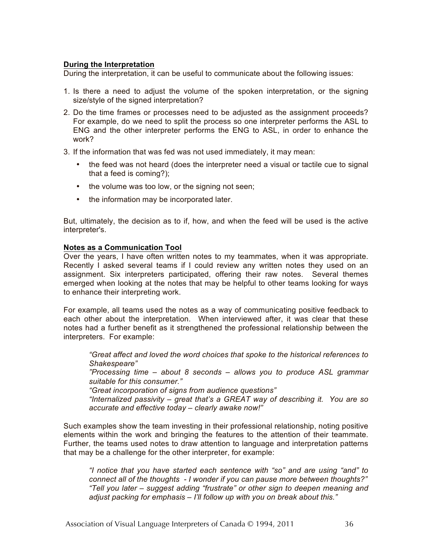#### **During the Interpretation**

During the interpretation, it can be useful to communicate about the following issues:

- 1. Is there a need to adjust the volume of the spoken interpretation, or the signing size/style of the signed interpretation?
- 2. Do the time frames or processes need to be adjusted as the assignment proceeds? For example, do we need to split the process so one interpreter performs the ASL to ENG and the other interpreter performs the ENG to ASL, in order to enhance the work?
- 3. If the information that was fed was not used immediately, it may mean:
	- the feed was not heard (does the interpreter need a visual or tactile cue to signal that a feed is coming?);
	- the volume was too low, or the signing not seen;
	- the information may be incorporated later.

But, ultimately, the decision as to if, how, and when the feed will be used is the active interpreter's.

#### **Notes as a Communication Tool**

Over the years, I have often written notes to my teammates, when it was appropriate. Recently I asked several teams if I could review any written notes they used on an assignment. Six interpreters participated, offering their raw notes. Several themes emerged when looking at the notes that may be helpful to other teams looking for ways to enhance their interpreting work.

For example, all teams used the notes as a way of communicating positive feedback to each other about the interpretation. When interviewed after, it was clear that these notes had a further benefit as it strengthened the professional relationship between the interpreters. For example:

*"Great affect and loved the word choices that spoke to the historical references to Shakespeare"*

*"Processing time – about 8 seconds – allows you to produce ASL grammar suitable for this consumer."*

*"Great incorporation of signs from audience questions"*

*"Internalized passivity – great that's a GREAT way of describing it. You are so accurate and effective today – clearly awake now!"*

Such examples show the team investing in their professional relationship, noting positive elements within the work and bringing the features to the attention of their teammate. Further, the teams used notes to draw attention to language and interpretation patterns that may be a challenge for the other interpreter, for example:

*"I notice that you have started each sentence with "so" and are using "and" to connect all of the thoughts - I wonder if you can pause more between thoughts?" "Tell you later – suggest adding "frustrate" or other sign to deepen meaning and adjust packing for emphasis – I'll follow up with you on break about this."*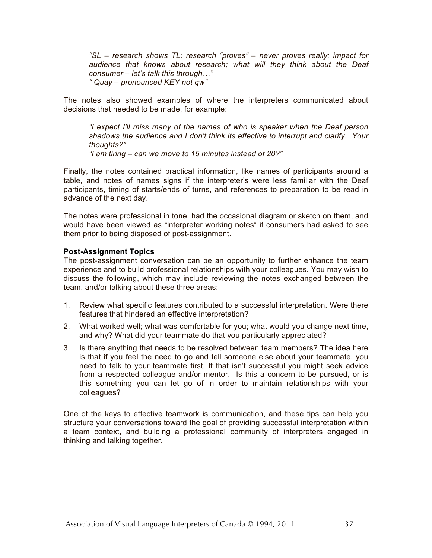*"SL – research shows TL: research "proves" – never proves really; impact for audience that knows about research; what will they think about the Deaf consumer – let's talk this through…" " Quay – pronounced KEY not qw"*

The notes also showed examples of where the interpreters communicated about decisions that needed to be made, for example:

*"I expect I'll miss many of the names of who is speaker when the Deaf person shadows the audience and I don't think its effective to interrupt and clarify. Your thoughts?"*

*"I am tiring – can we move to 15 minutes instead of 20?"*

Finally, the notes contained practical information, like names of participants around a table, and notes of names signs if the interpreter's were less familiar with the Deaf participants, timing of starts/ends of turns, and references to preparation to be read in advance of the next day.

The notes were professional in tone, had the occasional diagram or sketch on them, and would have been viewed as "interpreter working notes" if consumers had asked to see them prior to being disposed of post-assignment.

# **Post-Assignment Topics**

The post-assignment conversation can be an opportunity to further enhance the team experience and to build professional relationships with your colleagues. You may wish to discuss the following, which may include reviewing the notes exchanged between the team, and/or talking about these three areas:

- 1. Review what specific features contributed to a successful interpretation. Were there features that hindered an effective interpretation?
- 2. What worked well; what was comfortable for you; what would you change next time, and why? What did your teammate do that you particularly appreciated?
- 3. Is there anything that needs to be resolved between team members? The idea here is that if you feel the need to go and tell someone else about your teammate, you need to talk to your teammate first. If that isn't successful you might seek advice from a respected colleague and/or mentor. Is this a concern to be pursued, or is this something you can let go of in order to maintain relationships with your colleagues?

One of the keys to effective teamwork is communication, and these tips can help you structure your conversations toward the goal of providing successful interpretation within a team context, and building a professional community of interpreters engaged in thinking and talking together.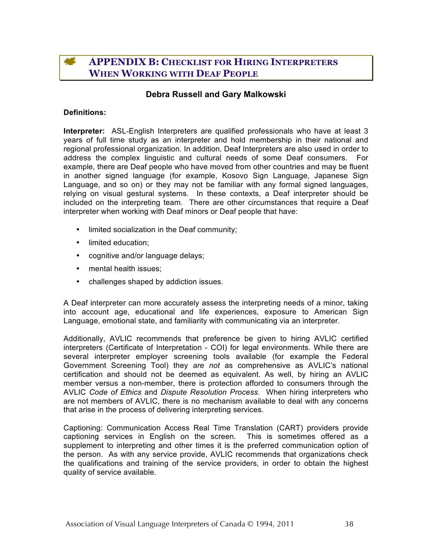# **APPENDIX B: CHECKLIST FOR HIRING INTERPRETERS WHEN WORKING WITH DEAF PEOPLE**

# **Debra Russell and Gary Malkowski**

#### **Definitions:**

**Interpreter:** ASL-English Interpreters are qualified professionals who have at least 3 years of full time study as an interpreter and hold membership in their national and regional professional organization. In addition, Deaf Interpreters are also used in order to address the complex linguistic and cultural needs of some Deaf consumers. For example, there are Deaf people who have moved from other countries and may be fluent in another signed language (for example, Kosovo Sign Language, Japanese Sign Language, and so on) or they may not be familiar with any formal signed languages, relying on visual gestural systems. In these contexts, a Deaf interpreter should be included on the interpreting team. There are other circumstances that require a Deaf interpreter when working with Deaf minors or Deaf people that have:

- limited socialization in the Deaf community;
- limited education;
- cognitive and/or language delays;
- mental health issues:
- challenges shaped by addiction issues.

A Deaf interpreter can more accurately assess the interpreting needs of a minor, taking into account age, educational and life experiences, exposure to American Sign Language, emotional state, and familiarity with communicating via an interpreter.

Additionally, AVLIC recommends that preference be given to hiring AVLIC certified interpreters (Certificate of Interpretation - COI) for legal environments. While there are several interpreter employer screening tools available (for example the Federal Government Screening Tool) they *are not* as comprehensive as AVLIC's national certification and should not be deemed as equivalent. As well, by hiring an AVLIC member versus a non-member, there is protection afforded to consumers through the AVLIC *Code of Ethics* and *Dispute Resolution Process*. When hiring interpreters who are not members of AVLIC, there is no mechanism available to deal with any concerns that arise in the process of delivering interpreting services.

Captioning: Communication Access Real Time Translation (CART) providers provide captioning services in English on the screen. This is sometimes offered as a supplement to interpreting and other times it is the preferred communication option of the person. As with any service provide, AVLIC recommends that organizations check the qualifications and training of the service providers, in order to obtain the highest quality of service available.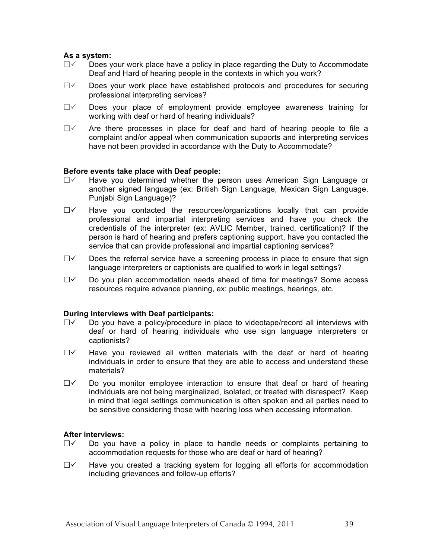#### **As a system:**

- $\Box$   $\vee$  Does your work place have a policy in place regarding the Duty to Accommodate Deaf and Hard of hearing people in the contexts in which you work?
- $\Box$  Does your work place have established protocols and procedures for securing professional interpreting services?
- $\Box$  Does your place of employment provide employee awareness training for working with deaf or hard of hearing individuals?
- $\Box$  Are there processes in place for deaf and hard of hearing people to file a complaint and/or appeal when communication supports and interpreting services have not been provided in accordance with the Duty to Accommodate?

#### **Before events take place with Deaf people:**

- $\Box$  Have you determined whether the person uses American Sign Language or another signed language (ex: British Sign Language, Mexican Sign Language, Punjabi Sign Language)?
- $\Box$  Have you contacted the resources/organizations locally that can provide professional and impartial interpreting services and have you check the credentials of the interpreter (ex: AVLIC Member, trained, certification)? If the person is hard of hearing and prefers captioning support, have you contacted the service that can provide professional and impartial captioning services?
- $\Box$  Does the referral service have a screening process in place to ensure that sign language interpreters or captionists are qualified to work in legal settings?
- $\Box$  Do you plan accommodation needs ahead of time for meetings? Some access resources require advance planning, ex: public meetings, hearings, etc.

#### **During interviews with Deaf participants:**

- $\Box$  Do you have a policy/procedure in place to videotape/record all interviews with deaf or hard of hearing individuals who use sign language interpreters or captionists?
- $\Box$  Have you reviewed all written materials with the deaf or hard of hearing individuals in order to ensure that they are able to access and understand these materials?
- $\Box$  Do you monitor employee interaction to ensure that deaf or hard of hearing individuals are not being marginalized, isolated, or treated with disrespect? Keep in mind that legal settings communication is often spoken and all parties need to be sensitive considering those with hearing loss when accessing information.

#### **After interviews:**

- $\Box$  Do you have a policy in place to handle needs or complaints pertaining to accommodation requests for those who are deaf or hard of hearing?
- $\Box$  Have you created a tracking system for logging all efforts for accommodation including grievances and follow-up efforts?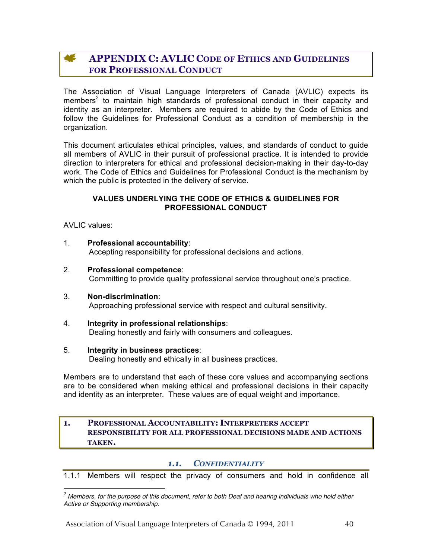#### **ALC APPENDIX C: AVLIC CODE OF ETHICS AND GUIDELINES FOR PROFESSIONAL CONDUCT**

The Association of Visual Language Interpreters of Canada (AVLIC) expects its members<sup>2</sup> to maintain high standards of professional conduct in their capacity and identity as an interpreter. Members are required to abide by the Code of Ethics and follow the Guidelines for Professional Conduct as a condition of membership in the organization.

This document articulates ethical principles, values, and standards of conduct to guide all members of AVLIC in their pursuit of professional practice. It is intended to provide direction to interpreters for ethical and professional decision-making in their day-to-day work. The Code of Ethics and Guidelines for Professional Conduct is the mechanism by which the public is protected in the delivery of service.

#### **VALUES UNDERLYING THE CODE OF ETHICS & GUIDELINES FOR PROFESSIONAL CONDUCT**

AVLIC values:

- 1. **Professional accountability**: Accepting responsibility for professional decisions and actions.
- 2. **Professional competence**: Committing to provide quality professional service throughout one's practice.
- 3. **Non-discrimination**: Approaching professional service with respect and cultural sensitivity.
- 4. **Integrity in professional relationships**: Dealing honestly and fairly with consumers and colleagues.

# 5. **Integrity in business practices**:

Dealing honestly and ethically in all business practices.

Members are to understand that each of these core values and accompanying sections are to be considered when making ethical and professional decisions in their capacity and identity as an interpreter. These values are of equal weight and importance.

## **1. PROFESSIONAL ACCOUNTABILITY: INTERPRETERS ACCEPT RESPONSIBILITY FOR ALL PROFESSIONAL DECISIONS MADE AND ACTIONS TAKEN.**

# *1.1. CONFIDENTIALITY*

1.1.1 Members will respect the privacy of consumers and hold in confidence all

Association of Visual Language Interpreters of Canada © 1994, 2011 40

*<sup>2</sup> Members, for the purpose of this document, refer to both Deaf and hearing individuals who hold either Active or Supporting membership.*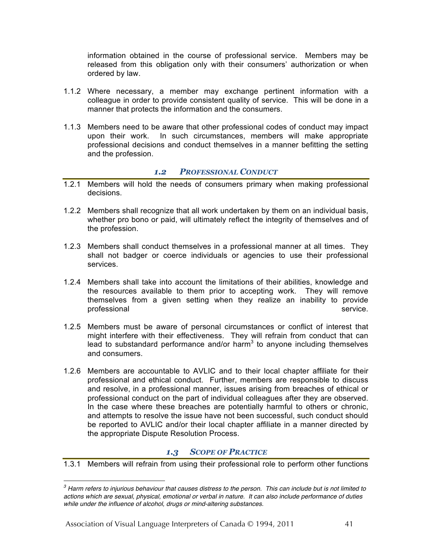information obtained in the course of professional service. Members may be released from this obligation only with their consumers' authorization or when ordered by law.

- 1.1.2 Where necessary, a member may exchange pertinent information with a colleague in order to provide consistent quality of service. This will be done in a manner that protects the information and the consumers.
- 1.1.3 Members need to be aware that other professional codes of conduct may impact upon their work. In such circumstances, members will make appropriate professional decisions and conduct themselves in a manner befitting the setting and the profession.

# *1.2 PROFESSIONAL CONDUCT*

- 1.2.1 Members will hold the needs of consumers primary when making professional decisions.
- 1.2.2 Members shall recognize that all work undertaken by them on an individual basis, whether pro bono or paid, will ultimately reflect the integrity of themselves and of the profession.
- 1.2.3 Members shall conduct themselves in a professional manner at all times. They shall not badger or coerce individuals or agencies to use their professional services.
- 1.2.4 Members shall take into account the limitations of their abilities, knowledge and the resources available to them prior to accepting work. They will remove themselves from a given setting when they realize an inability to provide professional service.
- 1.2.5 Members must be aware of personal circumstances or conflict of interest that might interfere with their effectiveness. They will refrain from conduct that can lead to substandard performance and/or harm<sup>3</sup> to anyone including themselves and consumers.
- 1.2.6 Members are accountable to AVLIC and to their local chapter affiliate for their professional and ethical conduct. Further, members are responsible to discuss and resolve, in a professional manner, issues arising from breaches of ethical or professional conduct on the part of individual colleagues after they are observed. In the case where these breaches are potentially harmful to others or chronic, and attempts to resolve the issue have not been successful, such conduct should be reported to AVLIC and/or their local chapter affiliate in a manner directed by the appropriate Dispute Resolution Process.

# *1.3 SCOPE OF PRACTICE*

1.3.1 Members will refrain from using their professional role to perform other functions

*<sup>3</sup> Harm refers to injurious behaviour that causes distress to the person. This can include but is not limited to actions which are sexual, physical, emotional or verbal in nature. It can also include performance of duties while under the influence of alcohol, drugs or mind-altering substances.*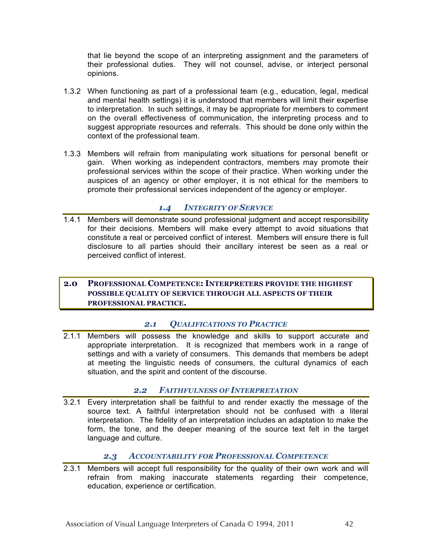that lie beyond the scope of an interpreting assignment and the parameters of their professional duties. They will not counsel, advise, or interject personal opinions.

- 1.3.2 When functioning as part of a professional team (e.g., education, legal, medical and mental health settings) it is understood that members will limit their expertise to interpretation. In such settings, it may be appropriate for members to comment on the overall effectiveness of communication, the interpreting process and to suggest appropriate resources and referrals. This should be done only within the context of the professional team.
- 1.3.3 Members will refrain from manipulating work situations for personal benefit or gain. When working as independent contractors, members may promote their professional services within the scope of their practice. When working under the auspices of an agency or other employer, it is not ethical for the members to promote their professional services independent of the agency or employer.

# *1.4 INTEGRITY OF SERVICE*

1.4.1 Members will demonstrate sound professional judgment and accept responsibility for their decisions. Members will make every attempt to avoid situations that constitute a real or perceived conflict of interest. Members will ensure there is full disclosure to all parties should their ancillary interest be seen as a real or perceived conflict of interest.

# **2.0 PROFESSIONAL COMPETENCE: INTERPRETERS PROVIDE THE HIGHEST POSSIBLE QUALITY OF SERVICE THROUGH ALL ASPECTS OF THEIR PROFESSIONAL PRACTICE.**

# *2.1 QUALIFICATIONS TO PRACTICE*

2.1.1 Members will possess the knowledge and skills to support accurate and appropriate interpretation. It is recognized that members work in a range of settings and with a variety of consumers. This demands that members be adept at meeting the linguistic needs of consumers, the cultural dynamics of each situation, and the spirit and content of the discourse.

# *2.2 FAITHFULNESS OF INTERPRETATION*

3.2.1 Every interpretation shall be faithful to and render exactly the message of the source text. A faithful interpretation should not be confused with a literal interpretation. The fidelity of an interpretation includes an adaptation to make the form, the tone, and the deeper meaning of the source text felt in the target language and culture.

# *2.3 ACCOUNTABILITY FOR PROFESSIONAL COMPETENCE*

2.3.1 Members will accept full responsibility for the quality of their own work and will refrain from making inaccurate statements regarding their competence, education, experience or certification.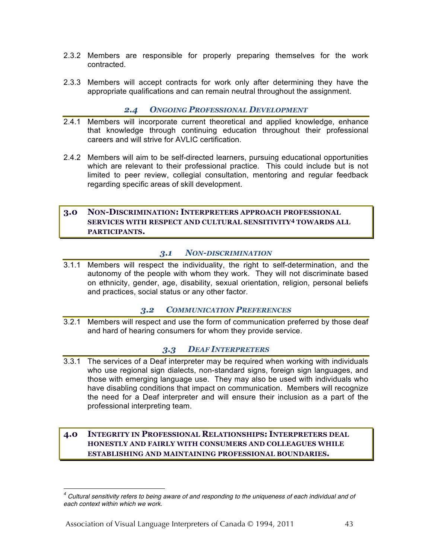- 2.3.2 Members are responsible for properly preparing themselves for the work contracted.
- 2.3.3 Members will accept contracts for work only after determining they have the appropriate qualifications and can remain neutral throughout the assignment.

# *2.4 ONGOING PROFESSIONAL DEVELOPMENT*

- 2.4.1 Members will incorporate current theoretical and applied knowledge, enhance that knowledge through continuing education throughout their professional careers and will strive for AVLIC certification.
- 2.4.2 Members will aim to be self-directed learners, pursuing educational opportunities which are relevant to their professional practice. This could include but is not limited to peer review, collegial consultation, mentoring and regular feedback regarding specific areas of skill development.

# **3.0 NON-DISCRIMINATION: INTERPRETERS APPROACH PROFESSIONAL SERVICES WITH RESPECT AND CULTURAL SENSITIVITY<sup>4</sup> TOWARDS ALL PARTICIPANTS.**

#### *3.1 NON-DISCRIMINATION*

3.1.1 Members will respect the individuality, the right to self-determination, and the autonomy of the people with whom they work. They will not discriminate based on ethnicity, gender, age, disability, sexual orientation, religion, personal beliefs and practices, social status or any other factor.

# *3.2 COMMUNICATION PREFERENCES*

3.2.1 Members will respect and use the form of communication preferred by those deaf and hard of hearing consumers for whom they provide service.

# *3.3 DEAF INTERPRETERS*

3.3.1 The services of a Deaf interpreter may be required when working with individuals who use regional sign dialects, non-standard signs, foreign sign languages, and those with emerging language use. They may also be used with individuals who have disabling conditions that impact on communication. Members will recognize the need for a Deaf interpreter and will ensure their inclusion as a part of the professional interpreting team.

## **4.0 INTEGRITY IN PROFESSIONAL RELATIONSHIPS: INTERPRETERS DEAL HONESTLY AND FAIRLY WITH CONSUMERS AND COLLEAGUES WHILE ESTABLISHING AND MAINTAINING PROFESSIONAL BOUNDARIES.**

*<sup>4</sup> Cultural sensitivity refers to being aware of and responding to the uniqueness of each individual and of each context within which we work.*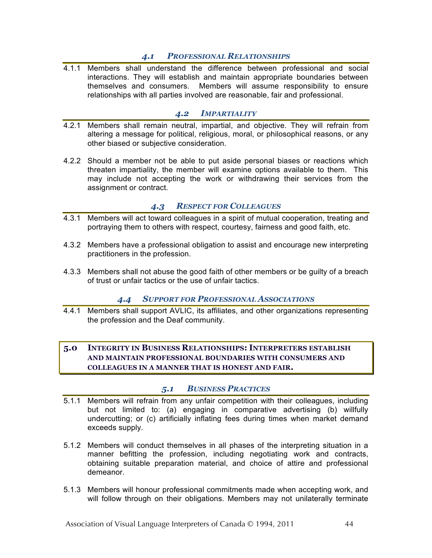# *4.1 PROFESSIONAL RELATIONSHIPS*

4.1.1 Members shall understand the difference between professional and social interactions. They will establish and maintain appropriate boundaries between themselves and consumers. Members will assume responsibility to ensure relationships with all parties involved are reasonable, fair and professional.

# *4.2 IMPARTIALITY*

- 4.2.1 Members shall remain neutral, impartial, and objective. They will refrain from altering a message for political, religious, moral, or philosophical reasons, or any other biased or subjective consideration.
- 4.2.2 Should a member not be able to put aside personal biases or reactions which threaten impartiality, the member will examine options available to them. This may include not accepting the work or withdrawing their services from the assignment or contract.

# *4.3 RESPECT FOR COLLEAGUES*

- 4.3.1 Members will act toward colleagues in a spirit of mutual cooperation, treating and portraying them to others with respect, courtesy, fairness and good faith, etc.
- 4.3.2 Members have a professional obligation to assist and encourage new interpreting practitioners in the profession.
- 4.3.3 Members shall not abuse the good faith of other members or be guilty of a breach of trust or unfair tactics or the use of unfair tactics.

# *4.4 SUPPORT FOR PROFESSIONAL ASSOCIATIONS*

4.4.1 Members shall support AVLIC, its affiliates, and other organizations representing the profession and the Deaf community.

# **5.0 INTEGRITY IN BUSINESS RELATIONSHIPS: INTERPRETERS ESTABLISH AND MAINTAIN PROFESSIONAL BOUNDARIES WITH CONSUMERS AND COLLEAGUES IN A MANNER THAT IS HONEST AND FAIR.**

# *5.1 BUSINESS PRACTICES*

- 5.1.1 Members will refrain from any unfair competition with their colleagues, including but not limited to: (a) engaging in comparative advertising (b) willfully undercutting; or (c) artificially inflating fees during times when market demand exceeds supply.
- 5.1.2 Members will conduct themselves in all phases of the interpreting situation in a manner befitting the profession, including negotiating work and contracts, obtaining suitable preparation material, and choice of attire and professional demeanor.
- 5.1.3 Members will honour professional commitments made when accepting work, and will follow through on their obligations. Members may not unilaterally terminate

Association of Visual Language Interpreters of Canada © 1994, 2011 44